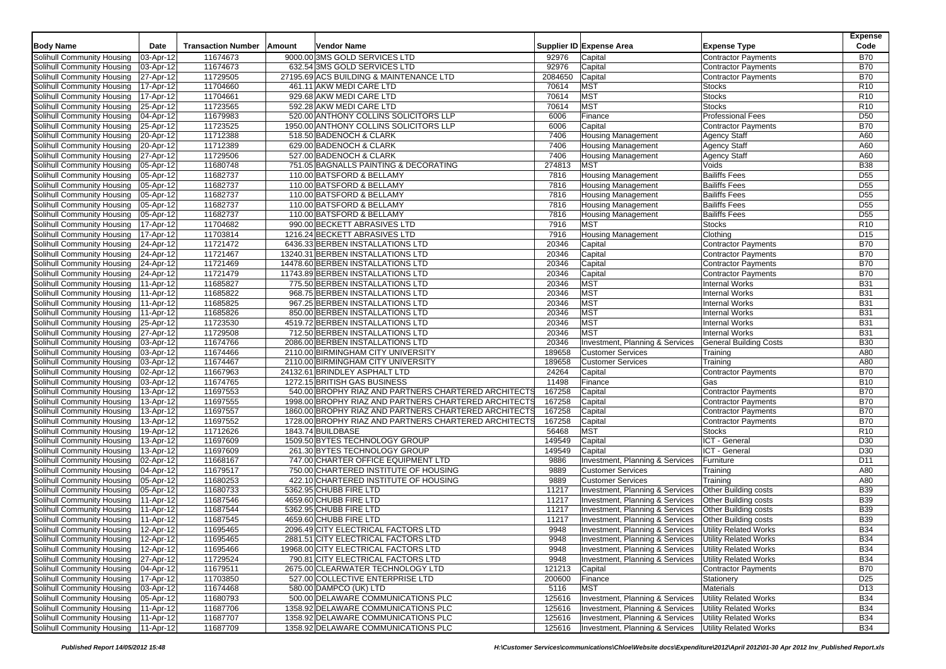|                                        |                         |                           |                                                       |         |                                          |                               | <b>Expense</b>  |
|----------------------------------------|-------------------------|---------------------------|-------------------------------------------------------|---------|------------------------------------------|-------------------------------|-----------------|
| <b>Body Name</b>                       | Date                    | <b>Transaction Number</b> | Amount<br>Vendor Name                                 |         | Supplier ID Expense Area                 | <b>Expense Type</b>           | Code            |
| Solihull Community Housing             | 03-Apr-12               | 11674673                  | 9000.00 3MS GOLD SERVICES LTD                         | 92976   | Capital                                  | <b>Contractor Payments</b>    | <b>B70</b>      |
| Solihull Community Housing             | 03-Apr-12               | 11674673                  | 632.54 3MS GOLD SERVICES LTD                          | 92976   | Capital                                  | <b>Contractor Payments</b>    | <b>B70</b>      |
| Solihull Community Housing             | 27-Apr-12               | 11729505                  | 27195.69 ACS BUILDING & MAINTENANCE LTD               | 2084650 | Capital                                  | <b>Contractor Payments</b>    | <b>B70</b>      |
| Solihull Community Housing             | 17-Apr-12               | 11704660                  | 461.11 AKW MEDI CARE LTD                              | 70614   | <b>MST</b>                               | <b>Stocks</b>                 | R <sub>10</sub> |
| Solihull Community Housing             | 17-Apr-12               | 11704661                  | 929.68 AKW MEDI CARE LTD                              | 70614   | <b>MST</b>                               | <b>Stocks</b>                 | R <sub>10</sub> |
|                                        |                         |                           | 592.28 AKW MEDI CARE LTD                              | 70614   | <b>MST</b>                               | <b>Stocks</b>                 |                 |
| Solihull Community Housing             | 25-Apr-12               | 11723565                  |                                                       |         |                                          |                               | R <sub>10</sub> |
| Solihull Community Housing             | 04-Apr-12               | 11679983                  | 520.00 ANTHONY COLLINS SOLICITORS LLP                 | 6006    | Finance                                  | <b>Professional Fees</b>      | D <sub>50</sub> |
| Solihull Community Housing             | 25-Apr-12               | 11723525                  | 1950.00 ANTHONY COLLINS SOLICITORS LLP                | 6006    | Capital                                  | <b>Contractor Payments</b>    | <b>B70</b>      |
| Solihull Community Housing             | 20-Apr-12               | 11712388                  | 518.50 BADENOCH & CLARK                               | 7406    | <b>Housing Management</b>                | Agency Staff                  | A60             |
| Solihull Community Housing             | 20-Apr-12               | 11712389                  | 629.00 BADENOCH & CLARK                               | 7406    | <b>Housing Management</b>                | <b>Agency Staff</b>           | A60             |
| Solihull Community Housing             | 27-Apr-12               | 11729506                  | 527.00 BADENOCH & CLARK                               | 7406    | <b>Housing Management</b>                | Agency Staff                  | A60             |
| Solihull Community Housing             | 05-Apr-12               | 11680748                  | 751.05 BAGNALLS PAINTING & DECORATING                 | 274813  | <b>MST</b>                               | Voids                         | <b>B38</b>      |
| Solihull Community Housing             | 05-Apr-12               | 11682737                  | 110.00 BATSFORD & BELLAMY                             | 7816    | <b>Housing Management</b>                | <b>Bailiffs Fees</b>          | D <sub>55</sub> |
| Solihull Community Housing             | 05-Apr-12               | 11682737                  | 110.00 BATSFORD & BELLAMY                             | 7816    | <b>Housing Management</b>                | <b>Bailiffs Fees</b>          | D <sub>55</sub> |
| Solihull Community Housing             | 05-Apr-12               | 11682737                  | 110.00 BATSFORD & BELLAMY                             | 7816    | <b>Housing Management</b>                | <b>Bailiffs Fees</b>          | D <sub>55</sub> |
| Solihull Community Housing             | 05-Apr-12               | 11682737                  | 110.00 BATSFORD & BELLAMY                             | 7816    | <b>Housing Management</b>                | <b>Bailiffs Fees</b>          | D <sub>55</sub> |
| Solihull Community Housing             | 05-Apr-12               | 11682737                  | 110.00 BATSFORD & BELLAMY                             | 7816    | <b>Housing Management</b>                | <b>Bailiffs Fees</b>          | D <sub>55</sub> |
| Solihull Community Housing             | 17-Apr-12               | 11704682                  | 990.00 BECKETT ABRASIVES LTD                          | 7916    | <b>MST</b>                               | <b>Stocks</b>                 | R <sub>10</sub> |
| Solihull Community Housing             | 17-Apr-12               | 11703814                  | 1216.24 BECKETT ABRASIVES LTD                         | 7916    | <b>Housing Management</b>                | Clothing                      | D <sub>15</sub> |
| Solihull Community Housing             | 24-Apr-12               | 11721472                  | 6436.33 BERBEN INSTALLATIONS LTD                      | 20346   | Capital                                  | <b>Contractor Payments</b>    | <b>B70</b>      |
| Solihull Community Housing             | 24-Apr-12               | 11721467                  | 13240.31 BERBEN INSTALLATIONS LTD                     | 20346   | Capital                                  | <b>Contractor Payments</b>    | <b>B70</b>      |
| Solihull Community Housing             | 24-Apr-12               | 11721469                  | 14478.60 BERBEN INSTALLATIONS LTD                     | 20346   | Capital                                  | <b>Contractor Payments</b>    | <b>B70</b>      |
|                                        | 24-Apr-12               | 11721479                  |                                                       |         | Capital                                  |                               |                 |
| Solihull Community Housing             |                         |                           | 11743.89 BERBEN INSTALLATIONS LTD                     | 20346   |                                          | <b>Contractor Payments</b>    | <b>B70</b>      |
| Solihull Community Housing             | 11-Apr-12               | 11685827                  | 775.50 BERBEN INSTALLATIONS LTD                       | 20346   | <b>MST</b>                               | <b>Internal Works</b>         | <b>B31</b>      |
| Solihull Community Housing             | 11-Apr-12               | 11685822                  | 968.75 BERBEN INSTALLATIONS LTD                       | 20346   | <b>MST</b>                               | <b>Internal Works</b>         | <b>B31</b>      |
| Solihull Community Housing             | 11-Apr-12               | 11685825                  | 967.25 BERBEN INSTALLATIONS LTD                       | 20346   | MST                                      | <b>Internal Works</b>         | <b>B31</b>      |
| Solihull Community Housing             | 11-Apr-12               | 11685826                  | 850.00 BERBEN INSTALLATIONS LTD                       | 20346   | <b>MST</b>                               | <b>Internal Works</b>         | <b>B31</b>      |
| Solihull Community Housing             | 25-Apr-12               | 11723530                  | 4519.72 BERBEN INSTALLATIONS LTD                      | 20346   | <b>MST</b>                               | <b>Internal Works</b>         | <b>B31</b>      |
| Solihull Community Housing             | 27-Apr-12               | 11729508                  | 712.50 BERBEN INSTALLATIONS LTD                       | 20346   | <b>MST</b>                               | <b>Internal Works</b>         | <b>B31</b>      |
| Solihull Community Housing             | 03-Apr-12               | 11674766                  | 2086.00 BERBEN INSTALLATIONS LTD                      | 20346   | Investment, Planning & Services          | <b>General Building Costs</b> | <b>B30</b>      |
| Solihull Community Housing             | 03-Apr-12               | 11674466                  | 2110.00 BIRMINGHAM CITY UNIVERSITY                    | 189658  | <b>Customer Services</b>                 | Training                      | A80             |
| Solihull Community Housing             | 03-Apr-12               | 11674467                  | 2110.00 BIRMINGHAM CITY UNIVERSITY                    | 189658  | <b>Customer Services</b>                 | Training                      | A80             |
| Solihull Community Housing             | 02-Apr-12               | 11667963                  | 24132.61 BRINDLEY ASPHALT LTD                         | 24264   | Capital                                  | <b>Contractor Payments</b>    | <b>B70</b>      |
| Solihull Community Housing             | 03-Apr-12               | 11674765                  | 1272.15 BRITISH GAS BUSINESS                          | 11498   | Finance                                  | Gas                           | <b>B10</b>      |
| Solihull Community Housing             | 13-Apr-12               | 11697553                  | 540.00 BROPHY RIAZ AND PARTNERS CHARTERED ARCHITECTS  | 167258  | Capital                                  | <b>Contractor Payments</b>    | <b>B70</b>      |
| Solihull Community Housing             | 13-Apr-12               | 11697555                  | 1998.00 BROPHY RIAZ AND PARTNERS CHARTERED ARCHITECTS | 167258  | Capital                                  | <b>Contractor Payments</b>    | <b>B70</b>      |
| Solihull Community Housing             | 13-Apr-12               | 11697557                  | 1860.00 BROPHY RIAZ AND PARTNERS CHARTERED ARCHITECTS | 167258  | Capital                                  | <b>Contractor Payments</b>    | <b>B70</b>      |
| Solihull Community Housing             | 13-Apr-12               | 11697552                  | 1728.00 BROPHY RIAZ AND PARTNERS CHARTERED ARCHITECTS | 167258  | Capital                                  | <b>Contractor Payments</b>    | <b>B70</b>      |
| Solihull Community Housing             | 19-Apr-12               | 11712626                  | 1843.74 BUILDBASE                                     | 56468   | <b>MST</b>                               | <b>Stocks</b>                 | R <sub>10</sub> |
| Solihull Community Housing             | 13-Apr-12               | 11697609                  | 1509.50 BYTES TECHNOLOGY GROUP                        | 149549  | Capital                                  | ICT - General                 | D <sub>30</sub> |
| Solihull Community Housing             | 13-Apr-12               | 11697609                  | 261.30 BYTES TECHNOLOGY GROUP                         | 149549  | Capital                                  | ICT - General                 | D <sub>30</sub> |
|                                        | 02-Apr-12               |                           |                                                       |         |                                          |                               |                 |
| Solihull Community Housing             |                         | 11668167                  | 747.00 CHARTER OFFICE EQUIPMENT LTD                   | 9886    | Investment, Planning & Services          | Furniture                     | D11             |
| Solihull Community Housing             | 04-Apr-12               | 11679517                  | 750.00 CHARTERED INSTITUTE OF HOUSING                 | 9889    | <b>Customer Services</b>                 | Training                      | A80             |
| Solihull Community Housing             | 05-Apr-12               | 11680253                  | 422.10 CHARTERED INSTITUTE OF HOUSING                 | 9889    | <b>Customer Services</b>                 | Training                      | A80             |
| Solihull Community Housing             | 05-Apr-12               | 11680733                  | 5362.95 CHUBB FIRE LTD                                | 11217   | Investment, Planning & Services          | Other Building costs          | <b>B39</b>      |
| Solihull Community Housing             | 11-Apr-12               | 11687546                  | 4659.60 CHUBB FIRE LTD                                | 11217   | Investment, Planning & Services          | Other Building costs          | <b>B39</b>      |
| Solihull Community Housing             | 11-Apr-12               | 11687544                  | 5362.95 CHUBB FIRE LTD                                | 11217   | Investment, Planning & Services          | Other Building costs          | <b>B39</b>      |
| Solihull Community Housing             | 11-Apr-12               | 11687545                  | 4659.60 CHUBB FIRE LTD                                | 11217   | Investment, Planning & Services          | Other Building costs          | <b>B39</b>      |
| Solihull Community Housing             | 12-Apr-12               | 11695465                  | 2096.49 CITY ELECTRICAL FACTORS LTD                   | 9948    | Investment, Planning & Services          | <b>Utility Related Works</b>  | <b>B34</b>      |
| Solihull Community Housing   12-Apr-12 |                         | 11695465                  | 2881.51 CITY ELECTRICAL FACTORS LTD                   | 9948    | Investment, Planning & Services          | Utility Related Works         | <b>B34</b>      |
| Solihull Community Housing             | 12-Apr-12               | 11695466                  | 19968.00 CITY ELECTRICAL FACTORS LTD                  | 9948    | Investment, Planning & Services          | <b>Utility Related Works</b>  | <b>B34</b>      |
| Solihull Community Housing             | $\overline{27}$ -Apr-12 | 11729524                  | 790.81 CITY ELECTRICAL FACTORS LTD                    | 9948    | Investment, Planning & Services          | <b>Utility Related Works</b>  | <b>B34</b>      |
| Solihull Community Housing             | 04-Apr-12               | 11679511                  | 2675.00 CLEARWATER TECHNOLOGY LTD                     | 121213  | Capital                                  | <b>Contractor Payments</b>    | <b>B70</b>      |
| Solihull Community Housing             | 17-Apr-12               | 11703850                  | 527.00 COLLECTIVE ENTERPRISE LTD                      | 200600  | Finance                                  | Stationery                    | D <sub>25</sub> |
| Solihull Community Housing             | 03-Apr-12               | 11674468                  | 580.00 DAMPCO (UK) LTD                                | 5116    | <b>MST</b>                               | <b>Materials</b>              | D <sub>13</sub> |
| Solihull Community Housing             | 05-Apr-12               | 11680793                  | 500.00 DELAWARE COMMUNICATIONS PLC                    | 125616  | Investment, Planning & Services          | <b>Utility Related Works</b>  | <b>B34</b>      |
| Solihull Community Housing             | 11-Apr-12               | 11687706                  | 1358.92 DELAWARE COMMUNICATIONS PLC                   | 125616  | Investment, Planning & Services          | <b>Utility Related Works</b>  | <b>B34</b>      |
| Solihull Community Housing             | 11-Apr-12               | 11687707                  | 1358.92 DELAWARE COMMUNICATIONS PLC                   | 125616  | Investment, Planning & Services          | <b>Utility Related Works</b>  | <b>B34</b>      |
| Solihull Community Housing   11-Apr-12 |                         | 11687709                  | 1358.92 DELAWARE COMMUNICATIONS PLC                   |         | 125616   Investment, Planning & Services | Utility Related Works         | <b>B34</b>      |
|                                        |                         |                           |                                                       |         |                                          |                               |                 |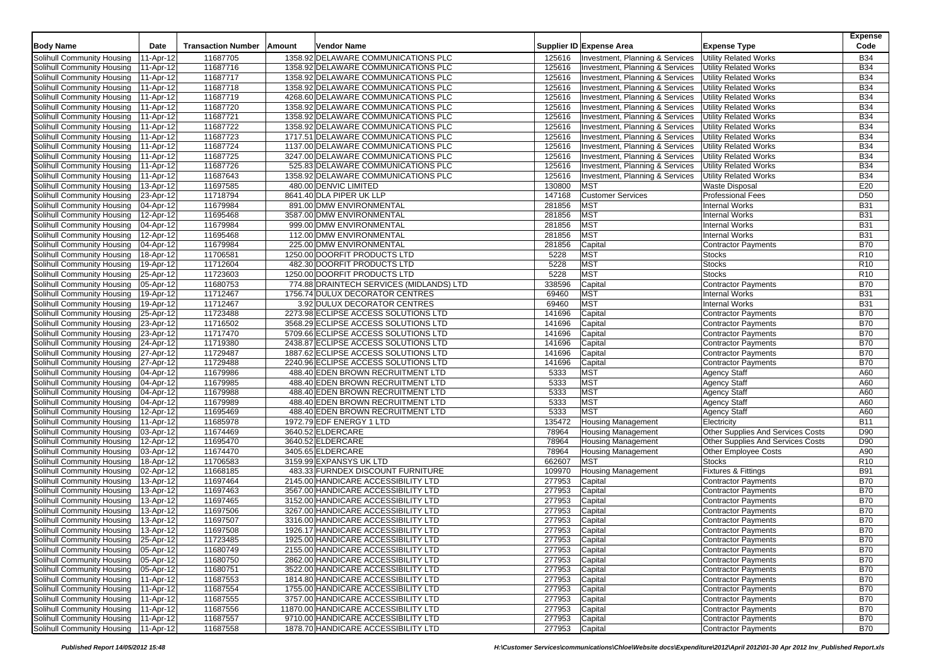|                                                          |                        |                           |        |                                                                              |                  |                                 |                                     | <b>Expense</b>           |
|----------------------------------------------------------|------------------------|---------------------------|--------|------------------------------------------------------------------------------|------------------|---------------------------------|-------------------------------------|--------------------------|
| <b>Body Name</b>                                         | Date                   | <b>Transaction Number</b> | Amount | Vendor Name                                                                  |                  | Supplier ID Expense Area        | <b>Expense Type</b>                 | Code                     |
| Solihull Community Housing                               | 11-Apr-12              | 11687705                  |        | 1358.92 DELAWARE COMMUNICATIONS PLC                                          | 125616           | Investment, Planning & Services | <b>Utility Related Works</b>        | <b>B34</b>               |
| Solihull Community Housing                               | 11-Apr-12              | 11687716                  |        | 1358.92 DELAWARE COMMUNICATIONS PLC                                          | 125616           | Investment, Planning & Services | <b>Utility Related Works</b>        | <b>B34</b>               |
| Solihull Community Housing                               | 11-Apr-12              | 11687717                  |        | 1358.92 DELAWARE COMMUNICATIONS PLC                                          | 125616           | Investment, Planning & Services | <b>Utility Related Works</b>        | <b>B34</b>               |
| Solihull Community Housing                               | 11-Apr-12              | 11687718                  |        | 1358.92 DELAWARE COMMUNICATIONS PLC                                          | 125616           | Investment, Planning & Services | <b>Utility Related Works</b>        | <b>B34</b>               |
| Solihull Community Housing                               | 11-Apr-12              | 11687719                  |        | 4268.60 DELAWARE COMMUNICATIONS PLC                                          | 125616           | Investment, Planning & Services | <b>Utility Related Works</b>        | <b>B34</b>               |
| Solihull Community Housing                               | 11-Apr-12              | 11687720                  |        | 1358.92 DELAWARE COMMUNICATIONS PLC                                          | 125616           | Investment, Planning & Services | <b>Utility Related Works</b>        | <b>B34</b>               |
| Solihull Community Housing                               | 11-Apr-12              | 11687721                  |        | 1358.92 DELAWARE COMMUNICATIONS PLC                                          | 125616           | Investment, Planning & Services | <b>Utility Related Works</b>        | <b>B34</b>               |
| Solihull Community Housing                               | 11-Apr-12              | 11687722                  |        | 1358.92 DELAWARE COMMUNICATIONS PLC                                          | 125616           | Investment, Planning & Services | <b>Utility Related Works</b>        | <b>B34</b>               |
| Solihull Community Housing                               | 11-Apr-12              | 11687723                  |        | 1717.51 DELAWARE COMMUNICATIONS PLC                                          | 125616           | Investment, Planning & Services | <b>Utility Related Works</b>        | <b>B34</b>               |
| Solihull Community Housing                               | 11-Apr-12              | 11687724                  |        | 1137.00 DELAWARE COMMUNICATIONS PLC                                          | 125616           | Investment, Planning & Services | <b>Utility Related Works</b>        | <b>B34</b>               |
| Solihull Community Housing                               | 11-Apr-12              | 11687725                  |        | 3247.00 DELAWARE COMMUNICATIONS PLC                                          | 125616           | Investment, Planning & Services | <b>Utility Related Works</b>        | <b>B34</b>               |
| Solihull Community Housing                               | 11-Apr-12              | 11687726                  |        | 525.83 DELAWARE COMMUNICATIONS PLC                                           | 125616           | Investment, Planning & Services | <b>Utility Related Works</b>        | <b>B34</b>               |
| Solihull Community Housing                               | 11-Apr-12              | 11687643                  |        | 1358.92 DELAWARE COMMUNICATIONS PLC                                          | 125616           | Investment, Planning & Services | <b>Utility Related Works</b>        | <b>B34</b>               |
| Solihull Community Housing                               | 13-Apr-12              | 11697585                  |        | 480.00 DENVIC LIMITED                                                        | 130800           | <b>MST</b>                      | Waste Disposal                      | E20                      |
| Solihull Community Housing                               | 23-Apr-12              | 11718794                  |        | 8641.40 DLA PIPER UK LLP                                                     | 147168           | <b>Customer Services</b>        | <b>Professional Fees</b>            | D <sub>50</sub>          |
| Solihull Community Housing                               | 04-Apr-12              | 11679984                  |        | 891.00 DMW ENVIRONMENTAL                                                     | 281856           | <b>MST</b>                      | <b>Internal Works</b>               | <b>B31</b>               |
| Solihull Community Housing                               | 12-Apr-12              | 11695468                  |        | 3587.00 DMW ENVIRONMENTAL                                                    | 281856           | <b>MST</b>                      | <b>Internal Works</b>               | <b>B31</b>               |
| Solihull Community Housing                               | 04-Apr-12              | 11679984                  |        | 999.00 DMW ENVIRONMENTAL                                                     | 281856           | <b>MST</b>                      | <b>Internal Works</b>               | <b>B31</b>               |
| Solihull Community Housing                               | 12-Apr-12              | 11695468                  |        | 112.00 DMW ENVIRONMENTAL                                                     | 281856           | <b>MST</b>                      | <b>Internal Works</b>               | <b>B31</b>               |
| Solihull Community Housing                               | 04-Apr-12              | 11679984                  |        | 225.00 DMW ENVIRONMENTAL                                                     | 281856           | Capital                         | <b>Contractor Payments</b>          | <b>B70</b>               |
| Solihull Community Housing                               | 18-Apr-12              | 11706581                  |        | 1250.00 DOORFIT PRODUCTS LTD                                                 | 5228             | <b>MST</b>                      | <b>Stocks</b>                       | R <sub>10</sub>          |
| Solihull Community Housing                               | 19-Apr-12              | 11712604                  |        | 482.30 DOORFIT PRODUCTS LTD                                                  | 5228             | <b>MST</b>                      | <b>Stocks</b>                       | R <sub>10</sub>          |
| Solihull Community Housing                               | 25-Apr-12              | 11723603                  |        | 1250.00 DOORFIT PRODUCTS LTD                                                 | 5228             | <b>MST</b>                      | <b>Stocks</b>                       | R <sub>10</sub>          |
| Solihull Community Housing                               | 05-Apr-12              | 11680753                  |        | 774.88 DRAINTECH SERVICES (MIDLANDS) LTD                                     | 338596           | Capital                         | <b>Contractor Payments</b>          | <b>B70</b>               |
| Solihull Community Housing                               | 19-Apr-12              | 11712467                  |        | 1756.74 DULUX DECORATOR CENTRES                                              | 69460            | <b>MST</b>                      | <b>Internal Works</b>               | <b>B31</b>               |
| Solihull Community Housing                               | 19-Apr-12              | 11712467                  |        | 3.92 DULUX DECORATOR CENTRES                                                 | 69460            | <b>MST</b>                      | <b>Internal Works</b>               | <b>B31</b>               |
| Solihull Community Housing                               | 25-Apr-12              | 11723488                  |        | 2273.98 ECLIPSE ACCESS SOLUTIONS LTD                                         | 141696           | Capital                         | <b>Contractor Payments</b>          | <b>B70</b>               |
| Solihull Community Housing                               | 23-Apr-12              | 11716502                  |        | 3568.29 ECLIPSE ACCESS SOLUTIONS LTD                                         | 141696           | Capital                         | <b>Contractor Payments</b>          | <b>B70</b>               |
| Solihull Community Housing                               | 23-Apr-12              | 11717470                  |        | 5709.66 ECLIPSE ACCESS SOLUTIONS LTD                                         | 141696           | Capital                         | <b>Contractor Payments</b>          | <b>B70</b>               |
| Solihull Community Housing                               | 24-Apr-12              | 11719380                  |        | 2438.87 ECLIPSE ACCESS SOLUTIONS LTD                                         | 141696<br>141696 | Capital                         | <b>Contractor Payments</b>          | <b>B70</b><br><b>B70</b> |
| Solihull Community Housing                               | 27-Apr-12              | 11729487                  |        | 1887.62 ECLIPSE ACCESS SOLUTIONS LTD<br>2240.96 ECLIPSE ACCESS SOLUTIONS LTD |                  | Capital                         | <b>Contractor Payments</b>          | <b>B70</b>               |
| Solihull Community Housing<br>Solihull Community Housing | 27-Apr-12<br>04-Apr-12 | 11729488<br>11679986      |        | 488.40 EDEN BROWN RECRUITMENT LTD                                            | 141696<br>5333   | Capital<br><b>MST</b>           | <b>Contractor Payments</b>          | A60                      |
| Solihull Community Housing                               | 04-Apr-12              | 11679985                  |        | 488.40 EDEN BROWN RECRUITMENT LTD                                            | 5333             | <b>MST</b>                      | Agency Staff<br><b>Agency Staff</b> | A60                      |
| Solihull Community Housing                               | 04-Apr-12              | 11679988                  |        | 488.40 EDEN BROWN RECRUITMENT LTD                                            | 5333             | <b>MST</b>                      | <b>Agency Staff</b>                 | A60                      |
| Solihull Community Housing                               | 04-Apr-12              | 11679989                  |        | 488.40 EDEN BROWN RECRUITMENT LTD                                            | 5333             | <b>MST</b>                      | Agency Staff                        | A60                      |
| Solihull Community Housing                               | 12-Apr-12              | 11695469                  |        | 488.40 EDEN BROWN RECRUITMENT LTD                                            | 5333             | <b>MST</b>                      | Agency Staff                        | A60                      |
| Solihull Community Housing                               | 11-Apr-12              | 11685978                  |        | 1972.79 EDF ENERGY 1 LTD                                                     | 135472           | <b>Housing Management</b>       | Electricity                         | <b>B11</b>               |
| Solihull Community Housing                               | 03-Apr-12              | 11674469                  |        | 3640.52 ELDERCARE                                                            | 78964            | <b>Housing Management</b>       | Other Supplies And Services Costs   | D90                      |
| Solihull Community Housing                               | 12-Apr-12              | 11695470                  |        | 3640.52 ELDERCARE                                                            | 78964            | <b>Housing Management</b>       | Other Supplies And Services Costs   | D90                      |
| Solihull Community Housing                               | 03-Apr-12              | 11674470                  |        | 3405.65 ELDERCARE                                                            | 78964            | <b>Housing Management</b>       | <b>Other Employee Costs</b>         | A90                      |
| Solihull Community Housing                               | 18-Apr-12              | 11706583                  |        | 3159.99 EXPANSYS UK LTD                                                      | 662607           | <b>MST</b>                      | <b>Stocks</b>                       | R <sub>10</sub>          |
| Solihull Community Housing                               | 02-Apr-12              | 11668185                  |        | 483.33 FURNDEX DISCOUNT FURNITURE                                            | 109970           | <b>Housing Management</b>       | Fixtures & Fittings                 | <b>B91</b>               |
| Solihull Community Housing                               | 13-Apr-12              | 11697464                  |        | 2145.00 HANDICARE ACCESSIBILITY LTD                                          | 277953           | Capital                         | <b>Contractor Payments</b>          | <b>B70</b>               |
| Solihull Community Housing                               | 13-Apr-12              | 11697463                  |        | 3567.00 HANDICARE ACCESSIBILITY LTD                                          | 277953           | Capital                         | <b>Contractor Payments</b>          | <b>B70</b>               |
| Solihull Community Housing                               | 13-Apr-12              | 11697465                  |        | 3152.00 HANDICARE ACCESSIBILITY LTD                                          | 277953           | Capital                         | <b>Contractor Payments</b>          | <b>B70</b>               |
| Solihull Community Housing                               | 13-Apr-12              | 11697506                  |        | 3267.00 HANDICARE ACCESSIBILITY LTD                                          | 277953           | Capital                         | <b>Contractor Payments</b>          | <b>B70</b>               |
| Solihull Community Housing                               | 13-Apr-12              | 11697507                  |        | 3316.00 HANDICARE ACCESSIBILITY LTD                                          | 277953           | Capital                         | <b>Contractor Payments</b>          | <b>B70</b>               |
| Solihull Community Housing                               | 13-Apr-12              | 11697508                  |        | 1926.17 HANDICARE ACCESSIBILITY LTD                                          | 277953           | Capital                         | <b>Contractor Payments</b>          | <b>B70</b>               |
| Solihull Community Housing 25-Apr-12                     |                        | 11723485                  |        | 1925.00 HANDICARE ACCESSIBILITY LTD                                          | 277953           | Capital                         | <b>Contractor Payments</b>          | <b>B70</b>               |
| Solihull Community Housing                               | 05-Apr-12              | 11680749                  |        | 2155.00 HANDICARE ACCESSIBILITY LTD                                          | 277953           | Capital                         | <b>Contractor Payments</b>          | <b>B70</b>               |
| Solihull Community Housing                               | 05-Apr-12              | 11680750                  |        | 2862.00 HANDICARE ACCESSIBILITY LTD                                          | 277953           | Capital                         | <b>Contractor Payments</b>          | <b>B70</b>               |
| Solihull Community Housing                               | 05-Apr-12              | 11680751                  |        | 3522.00 HANDICARE ACCESSIBILITY LTD                                          | 277953           | Capital                         | Contractor Payments                 | <b>B70</b>               |
| Solihull Community Housing 11-Apr-12                     |                        | 11687553                  |        | 1814.80 HANDICARE ACCESSIBILITY LTD                                          | 277953           | Capital                         | Contractor Payments                 | <b>B70</b>               |
| Solihull Community Housing 11-Apr-12                     |                        | 11687554                  |        | 1755.00 HANDICARE ACCESSIBILITY LTD                                          | 277953           | Capital                         | <b>Contractor Payments</b>          | <b>B70</b>               |
| Solihull Community Housing   11-Apr-12                   |                        | 11687555                  |        | 3757.00 HANDICARE ACCESSIBILITY LTD                                          | 277953           | Capital                         | <b>Contractor Payments</b>          | <b>B70</b>               |
| Solihull Community Housing   11-Apr-12                   |                        | 11687556                  |        | 11870.00 HANDICARE ACCESSIBILITY LTD                                         | 277953           | Capital                         | Contractor Payments                 | <b>B70</b>               |
| Solihull Community Housing   11-Apr-12                   |                        | 11687557                  |        | 9710.00 HANDICARE ACCESSIBILITY LTD                                          | 277953           | Capital                         | <b>Contractor Payments</b>          | <b>B70</b>               |
| Solihull Community Housing   11-Apr-12                   |                        | 11687558                  |        | 1878.70 HANDICARE ACCESSIBILITY LTD                                          | 277953 Capital   |                                 | <b>Contractor Payments</b>          | <b>B70</b>               |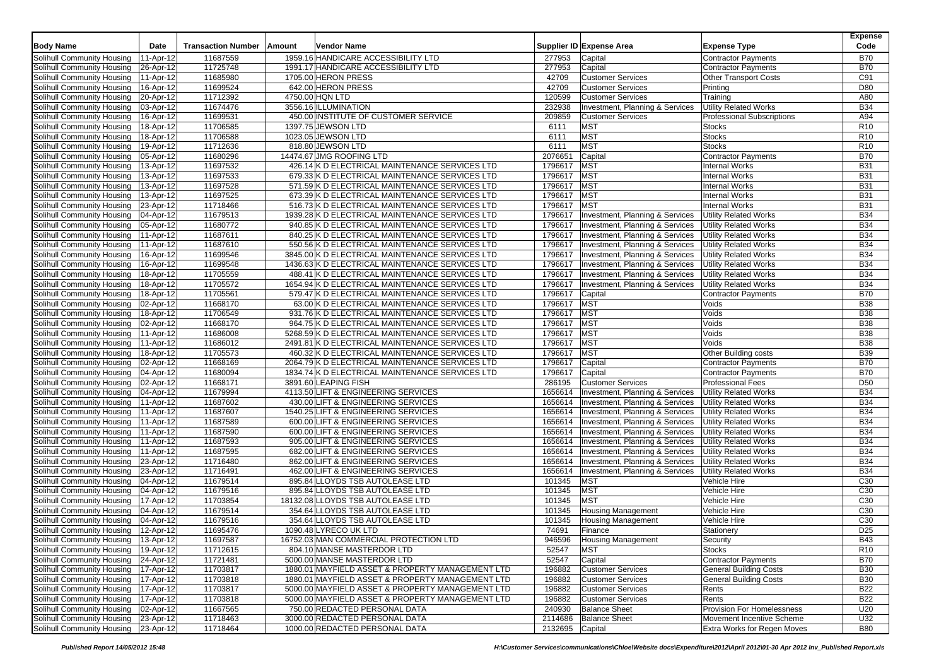|                                        |           |                           |        |                                                  |                 |                                                                    |                                   | <b>Expense</b>  |
|----------------------------------------|-----------|---------------------------|--------|--------------------------------------------------|-----------------|--------------------------------------------------------------------|-----------------------------------|-----------------|
| <b>Body Name</b>                       | Date      | <b>Transaction Number</b> | Amount | Vendor Name                                      |                 | Supplier ID Expense Area                                           | <b>Expense Type</b>               | Code            |
| Solihull Community Housing             | 11-Apr-12 | 11687559                  |        | 1959.16 HANDICARE ACCESSIBILITY LTD              | 277953          | Capital                                                            | <b>Contractor Payments</b>        | <b>B70</b>      |
| Solihull Community Housing             | 26-Apr-12 | 11725748                  |        | 1991.17 HANDICARE ACCESSIBILITY LTD              | 277953          | Capital                                                            | <b>Contractor Payments</b>        | <b>B70</b>      |
| Solihull Community Housing             | 11-Apr-12 | 11685980                  |        | 1705.00 HERON PRESS                              | 42709           | <b>Customer Services</b>                                           | <b>Other Transport Costs</b>      | C91             |
| Solihull Community Housing             | 16-Apr-12 | 11699524                  |        | 642.00 HERON PRESS                               | 42709           | <b>Customer Services</b>                                           | Printing                          | D80             |
| Solihull Community Housing             | 20-Apr-12 | 11712392                  |        | 4750.00 HQN LTD                                  | 120599          | <b>Customer Services</b>                                           | Training                          | A80             |
| Solihull Community Housing             | 03-Apr-12 | 11674476                  |        | 3556.16 ILLUMINATION                             | 232938          | Investment, Planning & Services                                    | <b>Utility Related Works</b>      | <b>B34</b>      |
| Solihull Community Housing             | 16-Apr-12 | 11699531                  |        | 450.00 INSTITUTE OF CUSTOMER SERVICE             | 209859          | <b>Customer Services</b>                                           | <b>Professional Subscriptions</b> | A94             |
| Solihull Community Housing             | 18-Apr-12 | 11706585                  |        | 1397.75 JEWSON LTD                               | 6111            | <b>MST</b>                                                         | <b>Stocks</b>                     | R <sub>10</sub> |
| Solihull Community Housing             | 18-Apr-12 | 11706588                  |        | 1023.05 JEWSON LTD                               | 6111            | <b>MST</b>                                                         | <b>Stocks</b>                     | R <sub>10</sub> |
| Solihull Community Housing             | 19-Apr-12 | 11712636                  |        | 818.80 JEWSON LTD                                | 6111            | <b>MST</b>                                                         | <b>Stocks</b>                     | R <sub>10</sub> |
|                                        |           |                           |        |                                                  |                 |                                                                    |                                   |                 |
| Solihull Community Housing             | 05-Apr-12 | 11680296<br>11697532      |        | 14474.67 JMG ROOFING LTD                         | 2076651         | Capital<br><b>MST</b>                                              | <b>Contractor Payments</b>        | <b>B70</b>      |
| Solihull Community Housing             | 13-Apr-12 |                           |        | 426.14 K D ELECTRICAL MAINTENANCE SERVICES LTD   | 1796617         |                                                                    | <b>Internal Works</b>             | <b>B31</b>      |
| Solihull Community Housing             | 13-Apr-12 | 11697533                  |        | 679.33 K D ELECTRICAL MAINTENANCE SERVICES LTD   | 1796617         | <b>MST</b>                                                         | <b>Internal Works</b>             | <b>B31</b>      |
| Solihull Community Housing             | 13-Apr-12 | 11697528                  |        | 571.59 K D ELECTRICAL MAINTENANCE SERVICES LTD   | 1796617         | <b>MST</b>                                                         | <b>Internal Works</b>             | <b>B31</b>      |
| Solihull Community Housing             | 13-Apr-12 | 11697525                  |        | 673.39 K D ELECTRICAL MAINTENANCE SERVICES LTD   | 1796617         | <b>MST</b>                                                         | <b>Internal Works</b>             | <b>B31</b>      |
| Solihull Community Housing             | 23-Apr-12 | 11718466                  |        | 516.73 K D ELECTRICAL MAINTENANCE SERVICES LTD   | 1796617         | <b>MST</b>                                                         | <b>Internal Works</b>             | <b>B31</b>      |
| Solihull Community Housing             | 04-Apr-12 | 11679513                  |        | 1939.28 K D ELECTRICAL MAINTENANCE SERVICES LTD  | 1796617         | Investment, Planning & Services                                    | <b>Utility Related Works</b>      | <b>B34</b>      |
| Solihull Community Housing             | 05-Apr-12 | 11680772                  |        | 940.85 K D ELECTRICAL MAINTENANCE SERVICES LTD   | 1796617         | Investment, Planning & Services                                    | <b>Utility Related Works</b>      | <b>B34</b>      |
| Solihull Community Housing             | 11-Apr-12 | 11687611                  |        | 840.25 K D ELECTRICAL MAINTENANCE SERVICES LTD   | 1796617         | Investment, Planning & Services                                    | <b>Utility Related Works</b>      | <b>B34</b>      |
| Solihull Community Housing             | 11-Apr-12 | 11687610                  |        | 550.56 K D ELECTRICAL MAINTENANCE SERVICES LTD   | 1796617         | Investment, Planning & Services                                    | <b>Utility Related Works</b>      | <b>B34</b>      |
| Solihull Community Housing             | 16-Apr-12 | 11699546                  |        | 3845.00 K D ELECTRICAL MAINTENANCE SERVICES LTD  | 1796617         | Investment, Planning & Services                                    | Utility Related Works             | <b>B34</b>      |
| Solihull Community Housing             | 16-Apr-12 | 11699548                  |        | 1436.63 K D ELECTRICAL MAINTENANCE SERVICES LTD  | 1796617         | Investment, Planning & Services                                    | <b>Utility Related Works</b>      | <b>B34</b>      |
| Solihull Community Housing             | 18-Apr-12 | 11705559                  |        | 488.41 K D ELECTRICAL MAINTENANCE SERVICES LTD   | 1796617         | Investment, Planning & Services                                    | <b>Utility Related Works</b>      | <b>B34</b>      |
| Solihull Community Housing             | 18-Apr-12 | 11705572                  |        | 1654.94 K D ELECTRICAL MAINTENANCE SERVICES LTD  | 1796617         | Investment, Planning & Services                                    | <b>Utility Related Works</b>      | <b>B34</b>      |
| Solihull Community Housing             | 18-Apr-12 | 11705561                  |        | 579.47 K D ELECTRICAL MAINTENANCE SERVICES LTD   | 1796617         | Capital                                                            | <b>Contractor Payments</b>        | <b>B70</b>      |
| Solihull Community Housing             | 02-Apr-12 | 11668170                  |        | 63.00 K D ELECTRICAL MAINTENANCE SERVICES LTD    | 1796617         | <b>MST</b>                                                         | Voids                             | <b>B38</b>      |
| Solihull Community Housing             | 18-Apr-12 | 11706549                  |        | 931.76 K D ELECTRICAL MAINTENANCE SERVICES LTD   | 1796617         | <b>MST</b>                                                         | Voids                             | <b>B38</b>      |
| Solihull Community Housing             | 02-Apr-12 | 11668170                  |        | 964.75 K D ELECTRICAL MAINTENANCE SERVICES LTD   | 1796617         | <b>MST</b>                                                         | Voids                             | <b>B38</b>      |
| Solihull Community Housing             | 11-Apr-12 | 11686008                  |        | 5268.59 K D ELECTRICAL MAINTENANCE SERVICES LTD  | 1796617         | <b>MST</b>                                                         | Voids                             | <b>B38</b>      |
| Solihull Community Housing             | 11-Apr-12 | 11686012                  |        | 2491.81 K D ELECTRICAL MAINTENANCE SERVICES LTD  | 1796617         | <b>MST</b>                                                         | Voids                             | <b>B38</b>      |
| Solihull Community Housing             | 18-Apr-12 | 11705573                  |        | 460.32 K D ELECTRICAL MAINTENANCE SERVICES LTD   | 1796617         | <b>MST</b>                                                         | Other Building costs              | <b>B39</b>      |
| Solihull Community Housing             | 02-Apr-12 | 11668169                  |        | 2064.79 K D ELECTRICAL MAINTENANCE SERVICES LTD  | 1796617         | Capital                                                            | <b>Contractor Payments</b>        | <b>B70</b>      |
| Solihull Community Housing             | 04-Apr-12 | 11680094                  |        | 1834.74 K D ELECTRICAL MAINTENANCE SERVICES LTD  | 1796617         | Capital                                                            | <b>Contractor Payments</b>        | <b>B70</b>      |
| Solihull Community Housing             | 02-Apr-12 | 11668171                  |        | 3891.60 LEAPING FISH                             | 286195          | <b>Customer Services</b>                                           | <b>Professional Fees</b>          | D <sub>50</sub> |
| Solihull Community Housing             | 04-Apr-12 | 11679994                  |        | 4113.50 LIFT & ENGINEERING SERVICES              | 1656614         | Investment, Planning & Services                                    | <b>Utility Related Works</b>      | <b>B34</b>      |
| Solihull Community Housing             | 11-Apr-12 | 11687602                  |        | 430.00 LIFT & ENGINEERING SERVICES               | 1656614         | Investment, Planning & Services                                    | <b>Utility Related Works</b>      | <b>B34</b>      |
| Solihull Community Housing             | 11-Apr-12 | 11687607                  |        | 1540.25 LIFT & ENGINEERING SERVICES              | 1656614         | Investment, Planning & Services                                    | <b>Utility Related Works</b>      | <b>B34</b>      |
|                                        | 11-Apr-12 | 11687589                  |        | 600.00 LIFT & ENGINEERING SERVICES               | 1656614         | Investment, Planning & Services                                    | <b>Utility Related Works</b>      | <b>B34</b>      |
| Solihull Community Housing             | 11-Apr-12 | 11687590                  |        | 600.00 LIFT & ENGINEERING SERVICES               | 1656614         | Investment, Planning & Services                                    | <b>Utility Related Works</b>      | <b>B34</b>      |
| Solihull Community Housing             |           | 11687593                  |        |                                                  |                 |                                                                    |                                   | <b>B34</b>      |
| Solihull Community Housing             | 11-Apr-12 |                           |        | 905.00 LIFT & ENGINEERING SERVICES               | 1656614         | Investment, Planning & Services                                    | <b>Utility Related Works</b>      |                 |
| Solihull Community Housing             | 11-Apr-12 | 11687595                  |        | 682.00 LIFT & ENGINEERING SERVICES               | 1656614         | Investment, Planning & Services<br>Investment, Planning & Services | <b>Utility Related Works</b>      | <b>B34</b>      |
| Solihull Community Housing             | 23-Apr-12 | 11716480                  |        | 862.00 LIFT & ENGINEERING SERVICES               | 1656614         |                                                                    | <b>Utility Related Works</b>      | <b>B34</b>      |
| Solihull Community Housing             | 23-Apr-12 | 11716491                  |        | 462.00 LIFT & ENGINEERING SERVICES               | 1656614         | Investment, Planning & Services                                    | <b>Utility Related Works</b>      | <b>B34</b>      |
| Solihull Community Housing             | 04-Apr-12 | 11679514                  |        | 895.84 LLOYDS TSB AUTOLEASE LTD                  | 101345          | <b>MST</b>                                                         | Vehicle Hire                      | C <sub>30</sub> |
| Solihull Community Housing             | 04-Apr-12 | 11679516                  |        | 895.84 LLOYDS TSB AUTOLEASE LTD                  | 101345          | <b>MST</b>                                                         | Vehicle Hire                      | C30             |
| Solihull Community Housing             | 17-Apr-12 | 11703854                  |        | 18132.08 LLOYDS TSB AUTOLEASE LTD                | 101345          | <b>MST</b>                                                         | Vehicle Hire                      | C <sub>30</sub> |
| Solihull Community Housing             | 04-Apr-12 | 11679514                  |        | 354.64 LLOYDS TSB AUTOLEASE LTD                  | 101345          | <b>Housing Management</b>                                          | Vehicle Hire                      | C <sub>30</sub> |
| Solihull Community Housing             | 04-Apr-12 | 11679516                  |        | 354.64 LLOYDS TSB AUTOLEASE LTD                  | 101345          | <b>Housing Management</b>                                          | Vehicle Hire                      | C30             |
| Solihull Community Housing   12-Apr-12 |           | 11695476                  |        | 1090.48 LYRECO UK LTD                            | 74691           | Finance                                                            | Stationery                        | D <sub>25</sub> |
| Solihull Community Housing   13-Apr-12 |           | 11697587                  |        | 16752.03 MAN COMMERCIAL PROTECTION LTD           | 946596          | <b>Housing Management</b>                                          | Security                          | B43             |
| Solihull Community Housing             | 19-Apr-12 | 11712615                  |        | 804.10 MANSE MASTERDOR LTD                       | 52547           | <b>MST</b>                                                         | Stocks                            | R <sub>10</sub> |
| Solihull Community Housing 24-Apr-12   |           | 11721481                  |        | 5000.00 MANSE MASTERDOR LTD                      | 52547           | Capital                                                            | <b>Contractor Payments</b>        | <b>B70</b>      |
| Solihull Community Housing   17-Apr-12 |           | 11703817                  |        | 1880.01 MAYFIELD ASSET & PROPERTY MANAGEMENT LTD | 196882          | <b>Customer Services</b>                                           | <b>General Building Costs</b>     | <b>B30</b>      |
| Solihull Community Housing   17-Apr-12 |           | 11703818                  |        | 1880.01 MAYFIELD ASSET & PROPERTY MANAGEMENT LTD | 196882          | <b>Customer Services</b>                                           | <b>General Building Costs</b>     | <b>B30</b>      |
| Solihull Community Housing   17-Apr-12 |           | 11703817                  |        | 5000.00 MAYFIELD ASSET & PROPERTY MANAGEMENT LTD | 196882          | <b>Customer Services</b>                                           | Rents                             | B22             |
| Solihull Community Housing   17-Apr-12 |           | 11703818                  |        | 5000.00 MAYFIELD ASSET & PROPERTY MANAGEMENT LTD | 196882          | <b>Customer Services</b>                                           | Rents                             | <b>B22</b>      |
| Solihull Community Housing   02-Apr-12 |           | 11667565                  |        | 750.00 REDACTED PERSONAL DATA                    | 240930          | <b>Balance Sheet</b>                                               | Provision For Homelessness        | U20             |
| Solihull Community Housing             | 23-Apr-12 | 11718463                  |        | 3000.00 REDACTED PERSONAL DATA                   | 2114686         | <b>Balance Sheet</b>                                               | Movement Incentive Scheme         | U32             |
| Solihull Community Housing   23-Apr-12 |           | 11718464                  |        | 1000.00 REDACTED PERSONAL DATA                   | 2132695 Capital |                                                                    | Extra Works for Regen Moves       | <b>B80</b>      |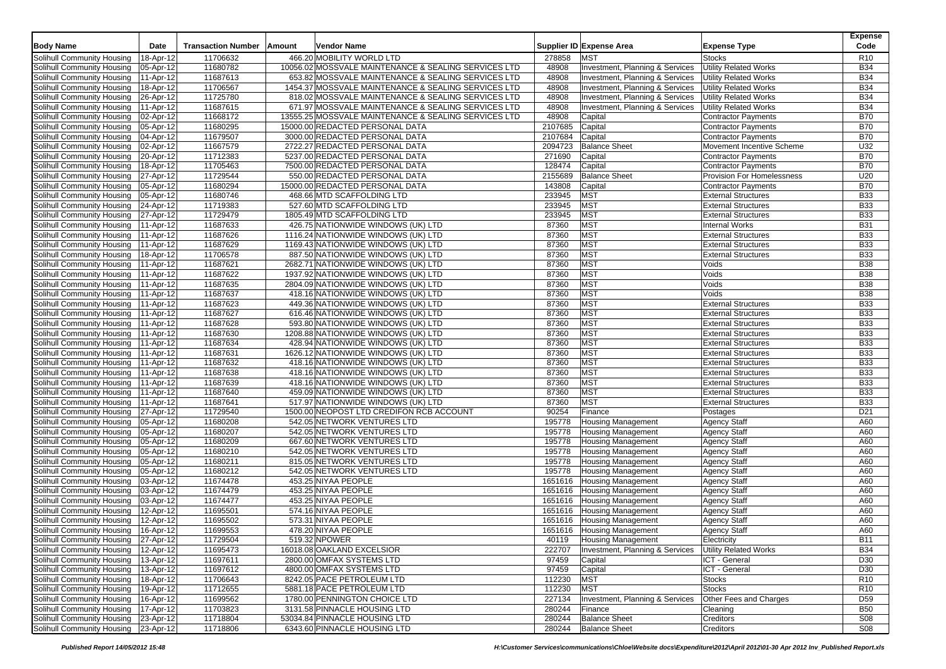|                                        | Date         | <b>Transaction Number</b> | Amount | <b>Vendor Name</b>                                   |         | Supplier ID Expense Area        |                                   | <b>Expense</b><br>Code |
|----------------------------------------|--------------|---------------------------|--------|------------------------------------------------------|---------|---------------------------------|-----------------------------------|------------------------|
| <b>Body Name</b>                       |              |                           |        |                                                      |         |                                 | <b>Expense Type</b>               |                        |
| Solihull Community Housing             | 18-Apr-12    | 11706632                  |        | 466.20 MOBILITY WORLD LTD                            | 278858  | <b>MST</b>                      | <b>Stocks</b>                     | R <sub>10</sub>        |
| Solihull Community Housing             | 05-Apr-12    | 11680782                  |        | 10056.02 MOSSVALE MAINTENANCE & SEALING SERVICES LTD | 48908   | Investment, Planning & Services | <b>Utility Related Works</b>      | <b>B34</b>             |
| Solihull Community Housing             | 11-Apr-12    | 11687613                  |        | 653.82 MOSSVALE MAINTENANCE & SEALING SERVICES LTD   | 48908   | Investment, Planning & Services | <b>Utility Related Works</b>      | <b>B34</b>             |
| Solihull Community Housing             | 18-Apr-12    | 11706567                  |        | 1454.37 MOSSVALE MAINTENANCE & SEALING SERVICES LTD  | 48908   | Investment, Planning & Services | <b>Utility Related Works</b>      | <b>B34</b>             |
| Solihull Community Housing             | 26-Apr-12    | 11725780                  |        | 818.02 MOSSVALE MAINTENANCE & SEALING SERVICES LTD   | 48908   | Investment, Planning & Services | <b>Utility Related Works</b>      | <b>B34</b>             |
| Solihull Community Housing             | 11-Apr-12    | 11687615                  |        | 671.97 MOSSVALE MAINTENANCE & SEALING SERVICES LTD   | 48908   | Investment, Planning & Services | <b>Utility Related Works</b>      | <b>B34</b>             |
| Solihull Community Housing             | 02-Apr-12    | 11668172                  |        | 13555.25 MOSSVALE MAINTENANCE & SEALING SERVICES LTD | 48908   | Capital                         | <b>Contractor Payments</b>        | <b>B70</b>             |
| Solihull Community Housing             | 05-Apr-12    | 11680295                  |        | 15000.00 REDACTED PERSONAL DATA                      | 2107685 | Capital                         | <b>Contractor Payments</b>        | <b>B70</b>             |
| Solihull Community Housing             | 04-Apr-12    | 11679507                  |        | 3000.00 REDACTED PERSONAL DATA                       | 2107684 | Capital                         | <b>Contractor Payments</b>        | <b>B70</b>             |
| Solihull Community Housing             | 02-Apr-12    | 11667579                  |        | 2722.27 REDACTED PERSONAL DATA                       | 2094723 | <b>Balance Sheet</b>            | Movement Incentive Scheme         | U32                    |
| Solihull Community Housing             | 20-Apr-12    | 11712383                  |        | 5237.00 REDACTED PERSONAL DATA                       | 271690  | Capital                         | <b>Contractor Payments</b>        | <b>B70</b>             |
| Solihull Community Housing             | $18$ -Apr-12 | 11705463                  |        | 7500.00 REDACTED PERSONAL DATA                       | 128474  | Capital                         | <b>Contractor Payments</b>        | <b>B70</b>             |
| Solihull Community Housing             | 27-Apr-12    | 11729544                  |        | 550.00 REDACTED PERSONAL DATA                        | 2155689 | <b>Balance Sheet</b>            | <b>Provision For Homelessness</b> | U20                    |
| Solihull Community Housing             | 05-Apr-12    | 11680294                  |        | 15000.00 REDACTED PERSONAL DATA                      | 143808  | Capital                         | <b>Contractor Payments</b>        | <b>B70</b>             |
| Solihull Community Housing             | 05-Apr-12    | 11680746                  |        | 468.66 MTD SCAFFOLDING LTD                           | 233945  | <b>MST</b>                      | <b>External Structures</b>        | <b>B33</b>             |
| Solihull Community Housing             | 24-Apr-12    | 11719383                  |        | 527.60 MTD SCAFFOLDING LTD                           | 233945  | <b>MST</b>                      | <b>External Structures</b>        | <b>B33</b>             |
| Solihull Community Housing             | 27-Apr-12    | 11729479                  |        | 1805.49 MTD SCAFFOLDING LTD                          | 233945  | MST                             | <b>External Structures</b>        | <b>B33</b>             |
|                                        |              |                           |        |                                                      |         | <b>MST</b>                      |                                   |                        |
| Solihull Community Housing             | 11-Apr-12    | 11687633                  |        | 426.75 NATIONWIDE WINDOWS (UK) LTD                   | 87360   |                                 | <b>Internal Works</b>             | <b>B31</b>             |
| Solihull Community Housing             | 11-Apr-12    | 11687626                  |        | 1116.24 NATIONWIDE WINDOWS (UK) LTD                  | 87360   | MST                             | <b>External Structures</b>        | <b>B33</b>             |
| Solihull Community Housing             | 11-Apr-12    | 11687629                  |        | 1169.43 NATIONWIDE WINDOWS (UK) LTD                  | 87360   | <b>MST</b>                      | <b>External Structures</b>        | <b>B33</b>             |
| Solihull Community Housing             | 18-Apr-12    | 11706578                  |        | 887.50 NATIONWIDE WINDOWS (UK) LTD                   | 87360   | <b>MST</b>                      | <b>External Structures</b>        | <b>B33</b>             |
| Solihull Community Housing             | 11-Apr-12    | 11687621                  |        | 2682.71 NATIONWIDE WINDOWS (UK) LTD                  | 87360   | MST                             | Voids                             | <b>B38</b>             |
| Solihull Community Housing             | 11-Apr-12    | 11687622                  |        | 1937.92 NATIONWIDE WINDOWS (UK) LTD                  | 87360   | <b>MST</b>                      | Voids                             | <b>B38</b>             |
| Solihull Community Housing             | 11-Apr-12    | 11687635                  |        | 2804.09 NATIONWIDE WINDOWS (UK) LTD                  | 87360   | MST                             | Voids                             | <b>B38</b>             |
| Solihull Community Housing             | 11-Apr-12    | 11687637                  |        | 418.16 NATIONWIDE WINDOWS (UK) LTD                   | 87360   | <b>MST</b>                      | Voids                             | <b>B38</b>             |
| Solihull Community Housing             | 11-Apr-12    | 11687623                  |        | 449.36 NATIONWIDE WINDOWS (UK) LTD                   | 87360   | <b>MST</b>                      | <b>External Structures</b>        | <b>B33</b>             |
| Solihull Community Housing             | 11-Apr-12    | 11687627                  |        | 616.46 NATIONWIDE WINDOWS (UK) LTD                   | 87360   | <b>MST</b>                      | <b>External Structures</b>        | <b>B33</b>             |
| Solihull Community Housing             | 11-Apr-12    | 11687628                  |        | 593.80 NATIONWIDE WINDOWS (UK) LTD                   | 87360   | <b>MST</b>                      | <b>External Structures</b>        | <b>B33</b>             |
| Solihull Community Housing             | 11-Apr-12    | 11687630                  |        | 1208.88 NATIONWIDE WINDOWS (UK) LTD                  | 87360   | <b>MST</b>                      | <b>External Structures</b>        | <b>B33</b>             |
| Solihull Community Housing             | 11-Apr-12    | 11687634                  |        | 428.94 NATIONWIDE WINDOWS (UK) LTD                   | 87360   | MST                             | <b>External Structures</b>        | <b>B33</b>             |
| Solihull Community Housing             | 11-Apr-12    | 11687631                  |        | 1626.12 NATIONWIDE WINDOWS (UK) LTD                  | 87360   | <b>MST</b>                      | <b>External Structures</b>        | <b>B33</b>             |
| Solihull Community Housing             | 11-Apr-12    | 11687632                  |        | 418.16 NATIONWIDE WINDOWS (UK) LTD                   | 87360   | MST                             | <b>External Structures</b>        | <b>B33</b>             |
| Solihull Community Housing             | 11-Apr-12    | 11687638                  |        | 418.16 NATIONWIDE WINDOWS (UK) LTD                   | 87360   | <b>MST</b>                      | <b>External Structures</b>        | <b>B33</b>             |
| Solihull Community Housing             | 11-Apr-12    | 11687639                  |        | 418.16 NATIONWIDE WINDOWS (UK) LTD                   | 87360   | <b>MST</b>                      | <b>External Structures</b>        | <b>B33</b>             |
| Solihull Community Housing             | 11-Apr-12    | 11687640                  |        | 459.09 NATIONWIDE WINDOWS (UK) LTD                   | 87360   | MST                             | <b>External Structures</b>        | <b>B33</b>             |
| Solihull Community Housing             | 11-Apr-12    | 11687641                  |        | 517.97 NATIONWIDE WINDOWS (UK) LTD                   | 87360   | <b>MST</b>                      | <b>External Structures</b>        | <b>B33</b>             |
| Solihull Community Housing             | 27-Apr-12    | 11729540                  |        | 1500.00 NEOPOST LTD CREDIFON RCB ACCOUNT             | 90254   | Finance                         | Postages                          | D <sub>21</sub>        |
| Solihull Community Housing             | 05-Apr-12    | 11680208                  |        | 542.05 NETWORK VENTURES LTD                          | 195778  | <b>Housing Management</b>       | <b>Agency Staff</b>               | A60                    |
| Solihull Community Housing             | 05-Apr-12    | 11680207                  |        | 542.05 NETWORK VENTURES LTD                          | 195778  | <b>Housing Management</b>       | <b>Agency Staff</b>               | A60                    |
| Solihull Community Housing             | 05-Apr-12    | 11680209                  |        | 667.60 NETWORK VENTURES LTD                          | 195778  | <b>Housing Management</b>       | <b>Agency Staff</b>               | A60                    |
| Solihull Community Housing             | 05-Apr-12    | 11680210                  |        | 542.05 NETWORK VENTURES LTD                          | 195778  | Housing Management              |                                   | A60                    |
|                                        |              | 11680211                  |        | 815.05 NETWORK VENTURES LTD                          | 195778  |                                 | <b>Agency Staff</b>               | A60                    |
| Solihull Community Housing             | 05-Apr-12    |                           |        |                                                      |         | <b>Housing Management</b>       | <b>Agency Staff</b>               |                        |
| Solihull Community Housing             | 05-Apr-12    | 11680212                  |        | 542.05 NETWORK VENTURES LTD                          | 195778  | <b>Housing Management</b>       | <b>Agency Staff</b>               | A60                    |
| Solihull Community Housing             | 03-Apr-12    | 11674478                  |        | 453.25 NIYAA PEOPLE                                  | 1651616 | <b>Housing Management</b>       | <b>Agency Staff</b>               | A60                    |
| Solihull Community Housing             | 03-Apr-12    | 11674479                  |        | 453.25 NIYAA PEOPLE                                  | 1651616 | <b>Housing Management</b>       | <b>Agency Staff</b>               | A60                    |
| Solihull Community Housing             | 03-Apr-12    | 11674477                  |        | 453.25 NIYAA PEOPLE                                  | 1651616 | <b>Housing Management</b>       | <b>Agency Staff</b>               | A60                    |
| Solihull Community Housing             | 12-Apr-12    | 11695501                  |        | 574.16 NIYAA PEOPLE                                  | 1651616 | <b>Housing Management</b>       | <b>Agency Staff</b>               | A60                    |
| Solihull Community Housing             | 12-Apr-12    | 11695502                  |        | 573.31 NIYAA PEOPLE                                  | 1651616 | <b>Housing Management</b>       | <b>Agency Staff</b>               | A60                    |
| Solihull Community Housing             | 16-Apr-12    | 11699553                  |        | 478.20 NIYAA PEOPLE                                  | 1651616 | <b>Housing Management</b>       | <b>Agency Staff</b>               | A60                    |
| Solihull Community Housing 27-Apr-12   |              | 11729504                  |        | 519.32 NPOWER                                        | 40119   | <b>Housing Management</b>       | Electricity                       | <b>B11</b>             |
| Solihull Community Housing             | 12-Apr-12    | 11695473                  |        | 16018.08 OAKLAND EXCELSIOR                           | 222707  | Investment, Planning & Services | <b>Utility Related Works</b>      | <b>B34</b>             |
| Solihull Community Housing             | 13-Apr-12    | 11697611                  |        | 2800.00 OMFAX SYSTEMS LTD                            | 97459   | Capital                         | ICT - General                     | D30                    |
| Solihull Community Housing             | 13-Apr-12    | 11697612                  |        | 4800.00 OMFAX SYSTEMS LTD                            | 97459   | Capital                         | ICT - General                     | D30                    |
| Solihull Community Housing             | 18-Apr-12    | 11706643                  |        | 8242.05 PACE PETROLEUM LTD                           | 112230  | <b>MST</b>                      | <b>Stocks</b>                     | R <sub>10</sub>        |
| Solihull Community Housing   19-Apr-12 |              | 11712655                  |        | 5881.18 PACE PETROLEUM LTD                           | 112230  | <b>MST</b>                      | <b>Stocks</b>                     | R <sub>10</sub>        |
| Solihull Community Housing             | 16-Apr-12    | 11699562                  |        | 1780.00 PENNINGTON CHOICE LTD                        | 227134  | Investment, Planning & Services | Other Fees and Charges            | D <sub>59</sub>        |
| Solihull Community Housing   17-Apr-12 |              | 11703823                  |        | 3131.58 PINNACLE HOUSING LTD                         | 280244  | Finance                         | Cleaning                          | <b>B50</b>             |
| Solihull Community Housing 23-Apr-12   |              | 11718804                  |        | 53034.84 PINNACLE HOUSING LTD                        | 280244  | <b>Balance Sheet</b>            | Creditors                         | S <sub>08</sub>        |
| Solihull Community Housing 23-Apr-12   |              | 11718806                  |        | 6343.60 PINNACLE HOUSING LTD                         | 280244  | <b>Balance Sheet</b>            | Creditors                         | <b>S08</b>             |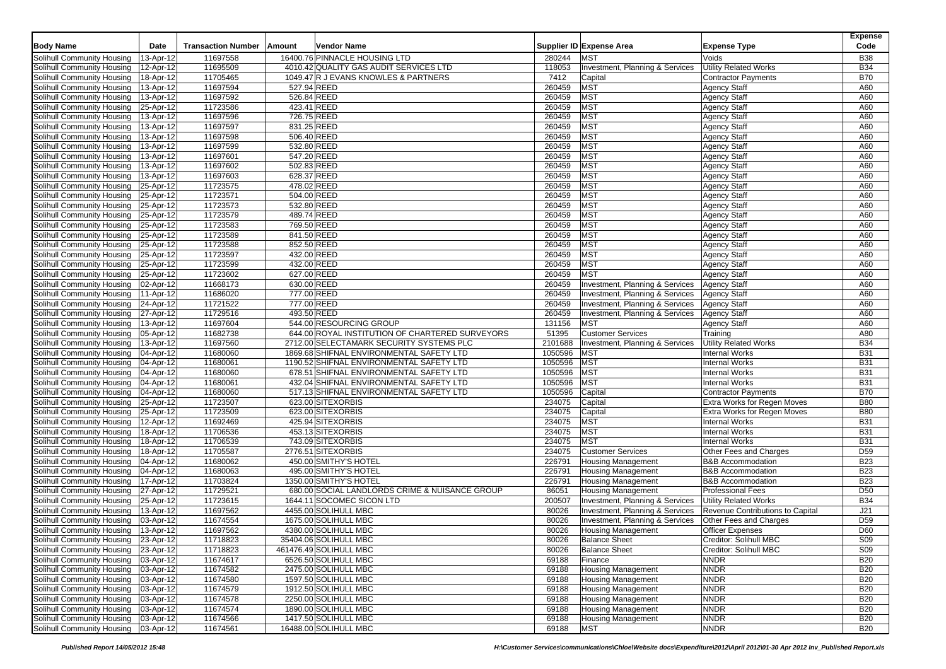|                                        |                         |                           |                                                 |         |                                 |                                  | <b>Expense</b>  |
|----------------------------------------|-------------------------|---------------------------|-------------------------------------------------|---------|---------------------------------|----------------------------------|-----------------|
| <b>Body Name</b>                       | Date                    | <b>Transaction Number</b> | Vendor Name<br>Amount                           |         | Supplier ID Expense Area        | <b>Expense Type</b>              | Code            |
| Solihull Community Housing             | 13-Apr-12               | 11697558                  | 16400.76 PINNACLE HOUSING LTD                   | 280244  | <b>MST</b>                      | Voids                            | <b>B38</b>      |
| Solihull Community Housing             | $\overline{12}$ -Apr-12 | 11695509                  | 4010.42 QUALITY GAS AUDIT SERVICES LTD          | 118053  | Investment, Planning & Services | <b>Utility Related Works</b>     | <b>B34</b>      |
| Solihull Community Housing             | 18-Apr-12               | 11705465                  | 1049.47 R J EVANS KNOWLES & PARTNERS            | 7412    | Capital                         | <b>Contractor Payments</b>       | <b>B70</b>      |
| Solihull Community Housing             | 13-Apr-12               | 11697594                  | 527.94 REED                                     | 260459  | <b>MST</b>                      | <b>Agency Staff</b>              | A60             |
| Solihull Community Housing             | 13-Apr-12               | 11697592                  | 526.84 REED                                     | 260459  | <b>MST</b>                      | <b>Agency Staff</b>              | A60             |
| Solihull Community Housing             | 25-Apr-12               | 11723586                  | 423.41 REED                                     | 260459  | MST                             | <b>Agency Staff</b>              | A60             |
| Solihull Community Housing             | 13-Apr-12               | 11697596                  | 726.75 REED                                     | 260459  | <b>MST</b>                      | <b>Agency Staff</b>              | A60             |
| Solihull Community Housing             | 13-Apr-12               | 11697597                  | 831.25 REED                                     | 260459  | <b>MST</b>                      | <b>Agency Staff</b>              | A60             |
|                                        |                         |                           | 506.40 REED                                     | 260459  | <b>MST</b>                      |                                  |                 |
| Solihull Community Housing             | 13-Apr-12               | 11697598                  |                                                 |         |                                 | <b>Agency Staff</b>              | A60             |
| Solihull Community Housing             | 13-Apr-12               | 11697599                  | 532.80 REED                                     | 260459  | <b>MST</b>                      | Agency Staff                     | A60             |
| Solihull Community Housing             | 13-Apr-12               | 11697601                  | 547.20 REED                                     | 260459  | <b>MST</b>                      | <b>Agency Staff</b>              | A60             |
| Solihull Community Housing             | 13-Apr-12               | 11697602                  | 502.83 REED                                     | 260459  | <b>MST</b>                      | <b>Agency Staff</b>              | A60             |
| Solihull Community Housing             | 13-Apr-12               | 11697603                  | 628.37 REED                                     | 260459  | MST                             | <b>Agency Staff</b>              | A60             |
| Solihull Community Housing             | 25-Apr-12               | 11723575                  | 478.02 REED                                     | 260459  | MST                             | <b>Agency Staff</b>              | A60             |
| Solihull Community Housing             | 25-Apr-12               | 11723571                  | 504.00 REED                                     | 260459  | <b>MST</b>                      | Agency Staff                     | A60             |
| Solihull Community Housing             | 25-Apr-12               | 11723573                  | 532.80 REED                                     | 260459  | <b>MST</b>                      | <b>Agency Staff</b>              | A60             |
| Solihull Community Housing             | 25-Apr-12               | 11723579                  | 489.74 REED                                     | 260459  | MST                             | <b>Agency Staff</b>              | A60             |
| Solihull Community Housing             | 25-Apr-12               | 11723583                  | 769.50 REED                                     | 260459  | <b>MST</b>                      | <b>Agency Staff</b>              | A60             |
| Solihull Community Housing             | 25-Apr-12               | 11723589                  | 841.50 REED                                     | 260459  | MST                             | <b>Agency Staff</b>              | A60             |
| Solihull Community Housing             | 25-Apr-12               | 11723588                  | 852.50 REED                                     | 260459  | <b>MST</b>                      | <b>Agency Staff</b>              | A60             |
| Solihull Community Housing             | 25-Apr-12               | 11723597                  | 432.00 REED                                     | 260459  | <b>MST</b>                      | <b>Agency Staff</b>              | A60             |
| Solihull Community Housing             | 25-Apr-12               | 11723599                  | 432.00 REED                                     | 260459  | <b>MST</b>                      | <b>Agency Staff</b>              | A60             |
| Solihull Community Housing             | 25-Apr-12               | 11723602                  | 627.00 REED                                     | 260459  | <b>MST</b>                      | Agency Staff                     | A60             |
| Solihull Community Housing             | 02-Apr-12               | 11668173                  | 630.00 REED                                     | 260459  | Investment, Planning & Services | <b>Agency Staff</b>              | A60             |
| Solihull Community Housing             | 11-Apr-12               | 11686020                  | 777.00 REED                                     | 260459  | Investment, Planning & Services | <b>Agency Staff</b>              | A60             |
| Solihull Community Housing             | 24-Apr-12               | 11721522                  | 777.00 REED                                     | 260459  | Investment, Planning & Services | <b>Agency Staff</b>              | A60             |
| Solihull Community Housing             | 27-Apr-12               | 11729516                  | 493.50 REED                                     | 260459  | Investment, Planning & Services | <b>Agency Staff</b>              | A60             |
| Solihull Community Housing             | 13-Apr-12               | 11697604                  | 544.00 RESOURCING GROUP                         | 131156  | <b>MST</b>                      | <b>Agency Staff</b>              | A60             |
| Solihull Community Housing             | 05-Apr-12               | 11682738                  | 644.00 ROYAL INSTITUTION OF CHARTERED SURVEYORS | 51395   | <b>Customer Services</b>        | Training                         | A80             |
| Solihull Community Housing             | 13-Apr-12               | 11697560                  | 2712.00 SELECTAMARK SECURITY SYSTEMS PLC        | 2101688 | Investment, Planning & Services | <b>Utility Related Works</b>     | <b>B34</b>      |
| Solihull Community Housing             | 04-Apr-12               | 11680060                  | 1869.68 SHIFNAL ENVIRONMENTAL SAFETY LTD        | 1050596 | <b>MST</b>                      | <b>Internal Works</b>            | <b>B31</b>      |
| Solihull Community Housing             | 04-Apr-12               | 11680061                  | 1190.52 SHIFNAL ENVIRONMENTAL SAFETY LTD        | 1050596 | <b>MST</b>                      | <b>Internal Works</b>            | <b>B31</b>      |
| Solihull Community Housing             | 04-Apr-12               | 11680060                  | 678.51 SHIFNAL ENVIRONMENTAL SAFETY LTD         | 1050596 | <b>MST</b>                      | <b>Internal Works</b>            | <b>B31</b>      |
|                                        |                         |                           |                                                 | 1050596 | <b>MST</b>                      |                                  | <b>B31</b>      |
| Solihull Community Housing             | 04-Apr-12               | 11680061                  | 432.04 SHIFNAL ENVIRONMENTAL SAFETY LTD         |         |                                 | <b>Internal Works</b>            |                 |
| Solihull Community Housing             | 04-Apr-12               | 11680060                  | 517.13 SHIFNAL ENVIRONMENTAL SAFETY LTD         | 1050596 | Capital                         | <b>Contractor Payments</b>       | <b>B70</b>      |
| Solihull Community Housing             | 25-Apr-12               | 11723507                  | 623.00 SITEXORBIS                               | 234075  | Capital                         | Extra Works for Regen Moves      | <b>B80</b>      |
| Solihull Community Housing             | 25-Apr-12               | 11723509                  | 623.00 SITEXORBIS                               | 234075  | Capital                         | Extra Works for Regen Moves      | <b>B80</b>      |
| Solihull Community Housing             | 12-Apr-12               | 11692469                  | 425.94 SITEXORBIS                               | 234075  | MST                             | <b>Internal Works</b>            | <b>B31</b>      |
| Solihull Community Housing             | 18-Apr-12               | 11706536                  | 453.13 SITEXORBIS                               | 234075  | <b>MST</b>                      | <b>Internal Works</b>            | <b>B31</b>      |
| Solihull Community Housing             | 18-Apr-12               | 11706539                  | 743.09 SITEXORBIS                               | 234075  | <b>MST</b>                      | <b>Internal Works</b>            | <b>B31</b>      |
| Solihull Community Housing             | 18-Apr-12               | 11705587                  | 2776.51 SITEXORBIS                              | 234075  | <b>Customer Services</b>        | Other Fees and Charges           | D <sub>59</sub> |
| Solihull Community Housing             | 04-Apr-12               | 11680062                  | 450.00 SMITHY'S HOTEL                           | 226791  | <b>Housing Management</b>       | <b>B&amp;B Accommodation</b>     | <b>B23</b>      |
| Solihull Community Housing             | 04-Apr-12               | 11680063                  | 495.00 SMITHY'S HOTEL                           | 226791  | <b>Housing Management</b>       | <b>B&amp;B Accommodation</b>     | <b>B23</b>      |
| Solihull Community Housing             | 17-Apr-12               | 11703824                  | 1350.00 SMITHY'S HOTEL                          | 226791  | <b>Housing Management</b>       | <b>B&amp;B Accommodation</b>     | <b>B23</b>      |
| Solihull Community Housing             | 27-Apr-12               | 11729521                  | 680.00 SOCIAL LANDLORDS CRIME & NUISANCE GROUP  | 86051   | <b>Housing Management</b>       | <b>Professional Fees</b>         | D <sub>50</sub> |
| Solihull Community Housing             | 25-Apr-12               | 11723615                  | 1644.11 SOCOMEC SICON LTD                       | 200507  | Investment, Planning & Services | <b>Utility Related Works</b>     | <b>B34</b>      |
| Solihull Community Housing             | 13-Apr-12               | 11697562                  | 4455.00 SOLIHULL MBC                            | 80026   | Investment, Planning & Services | Revenue Contributions to Capital | J21             |
| Solihull Community Housing             | 03-Apr-12               | 11674554                  | 1675.00 SOLIHULL MBC                            | 80026   | Investment, Planning & Services | Other Fees and Charges           | D <sub>59</sub> |
| Solihull Community Housing             | 13-Apr-12               | 11697562                  | 4380.00 SOLIHULL MBC                            | 80026   | <b>Housing Management</b>       | Officer Expenses                 | D60             |
| Solihull Community Housing   23-Apr-12 |                         | 11718823                  | 35404.06 SOLIHULL MBC                           | 80026   | <b>Balance Sheet</b>            | Creditor: Solihull MBC           | S09             |
| Solihull Community Housing             | 23-Apr-12               | 11718823                  | 461476.49 SOLIHULL MBC                          | 80026   | <b>Balance Sheet</b>            | Creditor: Solihull MBC           | S <sub>09</sub> |
| Solihull Community Housing             | 03-Apr-12               | 11674617                  | 6526.50 SOLIHULL MBC                            | 69188   | Finance                         | <b>NNDR</b>                      | <b>B20</b>      |
| Solihull Community Housing             | 03-Apr-12               | 11674582                  | 2475.00 SOLIHULL MBC                            | 69188   | <b>Housing Management</b>       | <b>NNDR</b>                      | <b>B20</b>      |
| Solihull Community Housing             | 03-Apr-12               | 11674580                  | 1597.50 SOLIHULL MBC                            | 69188   | <b>Housing Management</b>       | <b>NNDR</b>                      | <b>B20</b>      |
| Solihull Community Housing             | 03-Apr-12               | 11674579                  | 1912.50 SOLIHULL MBC                            | 69188   | <b>Housing Management</b>       | <b>NNDR</b>                      | <b>B20</b>      |
| Solihull Community Housing             | 03-Apr-12               | 11674578                  | 2250.00 SOLIHULL MBC                            | 69188   | <b>Housing Management</b>       | <b>NNDR</b>                      | <b>B20</b>      |
| Solihull Community Housing             | 03-Apr-12               | 11674574                  | 1890.00 SOLIHULL MBC                            | 69188   | <b>Housing Management</b>       | <b>NNDR</b>                      | <b>B20</b>      |
| Solihull Community Housing             | 03-Apr-12               | 11674566                  | 1417.50 SOLIHULL MBC                            | 69188   | <b>Housing Management</b>       | <b>NNDR</b>                      | <b>B20</b>      |
|                                        |                         | 11674561                  | 16488.00 SOLIHULL MBC                           |         | <b>MST</b>                      | <b>NNDR</b>                      | <b>B20</b>      |
| Solihull Community Housing   03-Apr-12 |                         |                           |                                                 | 69188   |                                 |                                  |                 |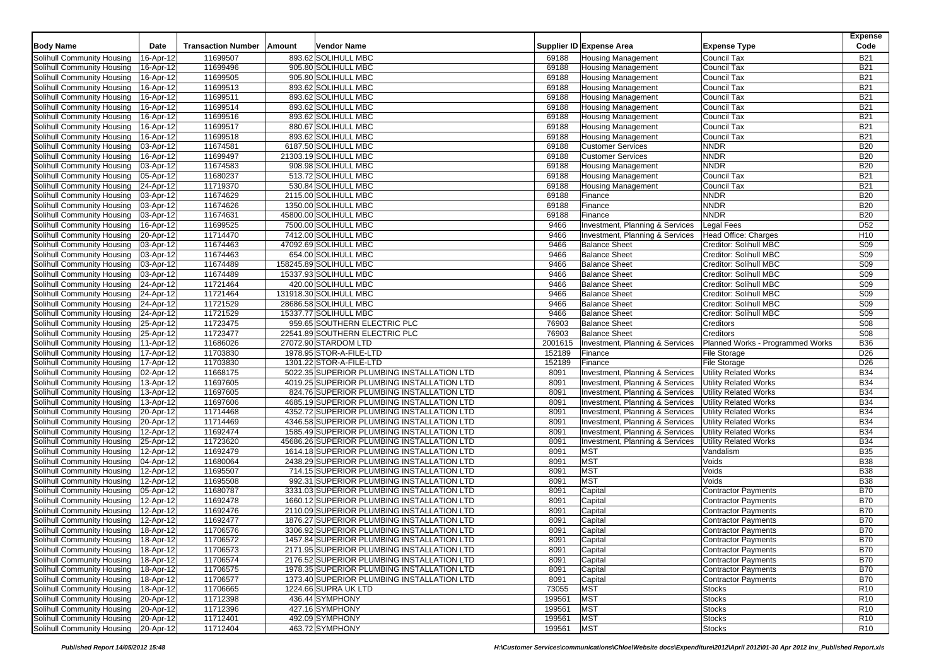|                                                          |                         |                           |                                                        |                  |                                              |                                               | <b>Expense</b>         |
|----------------------------------------------------------|-------------------------|---------------------------|--------------------------------------------------------|------------------|----------------------------------------------|-----------------------------------------------|------------------------|
| <b>Body Name</b>                                         | Date                    | <b>Transaction Number</b> | Vendor Name<br>Amount                                  |                  | Supplier ID Expense Area                     | <b>Expense Type</b>                           | Code                   |
| Solihull Community Housing                               | 16-Apr-12               | 11699507                  | 893.62 SOLIHULL MBC                                    | 69188            | <b>Housing Management</b>                    | Council Tax                                   | <b>B21</b>             |
| Solihull Community Housing                               | 16-Apr-12               | 11699496                  | 905.80 SOLIHULL MBC                                    | 69188            | <b>Housing Management</b>                    | Council Tax                                   | <b>B21</b>             |
| Solihull Community Housing                               | 16-Apr-12               | 11699505                  | 905.80 SOLIHULL MBC                                    | 69188            | <b>Housing Management</b>                    | Council Tax                                   | <b>B21</b>             |
| Solihull Community Housing                               | 16-Apr-12               | 11699513                  | 893.62 SOLIHULL MBC                                    | 69188            | <b>Housing Management</b>                    | Council Tax                                   | <b>B21</b>             |
| Solihull Community Housing                               | 16-Apr-12               | 11699511                  | 893.62 SOLIHULL MBC                                    | 69188            | <b>Housing Management</b>                    | Council Tax                                   | <b>B21</b>             |
| Solihull Community Housing                               | 16-Apr-12               | 11699514                  | 893.62 SOLIHULL MBC                                    | 69188            | <b>Housing Management</b>                    | <b>Council Tax</b>                            | <b>B21</b>             |
| Solihull Community Housing                               | 16-Apr-12               | 11699516                  | 893.62 SOLIHULL MBC                                    | 69188            | <b>Housing Management</b>                    | Council Tax                                   | <b>B21</b>             |
| Solihull Community Housing                               | 16-Apr-12               | 11699517                  | 880.67 SOLIHULL MBC                                    | 69188            | <b>Housing Management</b>                    | Council Tax                                   | <b>B21</b>             |
| Solihull Community Housing                               | 16-Apr-12               | 11699518                  | 893.62 SOLIHULL MBC                                    | 69188            | <b>Housing Management</b>                    | <b>Council Tax</b>                            | <b>B21</b>             |
| Solihull Community Housing                               | 03-Apr-12               | 11674581                  | 6187.50 SOLIHULL MBC                                   | 69188            | <b>Customer Services</b>                     | <b>NNDR</b>                                   | <b>B20</b>             |
| Solihull Community Housing                               | 16-Apr-12               | 11699497                  | 21303.19 SOLIHULL MBC                                  | 69188            | <b>Customer Services</b>                     | <b>NNDR</b>                                   | <b>B20</b>             |
| Solihull Community Housing                               | 03-Apr-12               | 11674583                  | 908.98 SOLIHULL MBC                                    | 69188            | <b>Housing Management</b>                    | <b>NNDR</b>                                   | <b>B20</b>             |
| Solihull Community Housing                               | 05-Apr-12               | 11680237                  | 513.72 SOLIHULL MBC                                    | 69188            | <b>Housing Management</b>                    | Council Tax                                   | <b>B21</b>             |
| Solihull Community Housing                               | 24-Apr-12               | 11719370                  | 530.84 SOLIHULL MBC                                    | 69188            | <b>Housing Management</b>                    | Council Tax                                   | <b>B21</b>             |
| Solihull Community Housing                               | 03-Apr-12               | 11674629                  | 2115.00 SOLIHULL MBC                                   | 69188            | Finance                                      | <b>NNDR</b>                                   | <b>B20</b>             |
| Solihull Community Housing                               | 03-Apr-12               | 11674626                  | 1350.00 SOLIHULL MBC                                   | 69188            | Finance                                      | <b>NNDR</b>                                   | <b>B20</b>             |
| Solihull Community Housing                               | 03-Apr-12               | 11674631                  | 45800.00 SOLIHULL MBC                                  | 69188            | Finance                                      | <b>NNDR</b>                                   | <b>B20</b>             |
| Solihull Community Housing                               | 16-Apr-12               | 11699525                  | 7500.00 SOLIHULL MBC                                   | 9466             | Investment, Planning & Services              | <b>Legal Fees</b>                             | D <sub>52</sub>        |
| Solihull Community Housing                               | 20-Apr-12               | 11714470                  | 7412.00 SOLIHULL MBC                                   | 9466             | Investment, Planning & Services              | Head Office: Charges                          | H <sub>10</sub>        |
| Solihull Community Housing                               | 03-Apr-12               | 11674463                  | 47092.69 SOLIHULL MBC                                  | 9466             | <b>Balance Sheet</b>                         | Creditor: Solihull MBC                        | <b>S09</b>             |
| Solihull Community Housing                               | 03-Apr-12               | 11674463                  | 654.00 SOLIHULL MBC                                    | 9466             | <b>Balance Sheet</b>                         | Creditor: Solihull MBC                        | S09                    |
| Solihull Community Housing                               | 03-Apr-12               | 11674489                  | 158245.89 SOLIHULL MBC                                 | 9466             | <b>Balance Sheet</b>                         | Creditor: Solihull MBC                        | S09                    |
| Solihull Community Housing                               | 03-Apr-12               | 11674489                  | 15337.93 SOLIHULL MBC                                  | 9466             | <b>Balance Sheet</b>                         | Creditor: Solihull MBC                        | S <sub>09</sub>        |
| Solihull Community Housing                               | 24-Apr-12               | 11721464                  | 420.00 SOLIHULL MBC                                    | 9466             | <b>Balance Sheet</b>                         | Creditor: Solihull MBC                        | S09                    |
| Solihull Community Housing<br>Solihull Community Housing | 24-Apr-12               | 11721464                  | 131918.30 SOLIHULL MBC                                 | 9466             | <b>Balance Sheet</b><br><b>Balance Sheet</b> | Creditor: Solihull MBC                        | S <sub>09</sub>        |
|                                                          | 24-Apr-12               | 11721529                  | 28686.58 SOLIHULL MBC<br>15337.77 SOLIHULL MBC         | 9466             |                                              | Creditor: Solihull MBC                        | S09                    |
| Solihull Community Housing<br>Solihull Community Housing | 24-Apr-12               | 11721529<br>11723475      |                                                        | 9466             | <b>Balance Sheet</b>                         | Creditor: Solihull MBC                        | S09                    |
|                                                          | 25-Apr-12               | 11723477                  | 959.65 SOUTHERN ELECTRIC PLC                           | 76903            | <b>Balance Sheet</b>                         | Creditors                                     | S08<br>S <sub>08</sub> |
| Solihull Community Housing<br>Solihull Community Housing | 25-Apr-12<br>11-Apr-12  | 11686026                  | 22541.89 SOUTHERN ELECTRIC PLC<br>27072.90 STARDOM LTD | 76903<br>2001615 | <b>Balance Sheet</b>                         | Creditors<br>Planned Works - Programmed Works | <b>B36</b>             |
| Solihull Community Housing                               | 17-Apr-12               | 11703830                  | 1978.95 STOR-A-FILE-LTD                                | 152189           | Investment, Planning & Services<br>Finance   | File Storage                                  | D <sub>26</sub>        |
| Solihull Community Housing                               | 17-Apr-12               | 11703830                  | 1301.22 STOR-A-FILE-LTD                                | 152189           | Finance                                      | File Storage                                  | D <sub>26</sub>        |
| Solihull Community Housing                               | 02-Apr-12               | 11668175                  | 5022.35 SUPERIOR PLUMBING INSTALLATION LTD             | 8091             | Investment, Planning & Services              | <b>Utility Related Works</b>                  | <b>B34</b>             |
| Solihull Community Housing                               | 13-Apr-12               | 11697605                  | 4019.25 SUPERIOR PLUMBING INSTALLATION LTD             | 8091             | Investment, Planning & Services              | <b>Utility Related Works</b>                  | <b>B34</b>             |
| Solihull Community Housing                               | 13-Apr-12               | 11697605                  | 824.76 SUPERIOR PLUMBING INSTALLATION LTD              | 8091             | Investment, Planning & Services              | <b>Utility Related Works</b>                  | <b>B34</b>             |
| Solihull Community Housing                               | $13-Apr-12$             | 11697606                  | 4685.19 SUPERIOR PLUMBING INSTALLATION LTD             | 8091             | Investment, Planning & Services              | <b>Utility Related Works</b>                  | <b>B34</b>             |
| Solihull Community Housing                               | 20-Apr-12               | 11714468                  | 4352.72 SUPERIOR PLUMBING INSTALLATION LTD             | 8091             | Investment, Planning & Services              | <b>Utility Related Works</b>                  | <b>B34</b>             |
| Solihull Community Housing                               | 20-Apr-12               | 11714469                  | 4346.58 SUPERIOR PLUMBING INSTALLATION LTD             | 8091             | Investment, Planning & Services              | Utility Related Works                         | <b>B34</b>             |
| Solihull Community Housing                               | 12-Apr-12               | 11692474                  | 1585.49 SUPERIOR PLUMBING INSTALLATION LTD             | 8091             | Investment, Planning & Services              | <b>Utility Related Works</b>                  | <b>B34</b>             |
| Solihull Community Housing                               | 25-Apr-12               | 11723620                  | 45686.26 SUPERIOR PLUMBING INSTALLATION LTD            | 8091             | Investment, Planning & Services              | <b>Utility Related Works</b>                  | <b>B34</b>             |
| Solihull Community Housing                               | 12-Apr-12               | 11692479                  | 1614.18 SUPERIOR PLUMBING INSTALLATION LTD             | 8091             | <b>MST</b>                                   | Vandalism                                     | <b>B35</b>             |
| Solihull Community Housing                               | 04-Apr-12               | 11680064                  | 2438.29 SUPERIOR PLUMBING INSTALLATION LTD             | 8091             | <b>MST</b>                                   | Voids                                         | <b>B38</b>             |
| Solihull Community Housing                               | 12-Apr-12               | 11695507                  | 714.15 SUPERIOR PLUMBING INSTALLATION LTD              | 8091             | MST                                          | Voids                                         | <b>B38</b>             |
| Solihull Community Housing                               | 12-Apr-12               | 11695508                  | 992.31 SUPERIOR PLUMBING INSTALLATION LTD              | 8091             | <b>MST</b>                                   | Voids                                         | <b>B38</b>             |
| Solihull Community Housing                               | $\overline{05}$ -Apr-12 | 11680787                  | 3331.03 SUPERIOR PLUMBING INSTALLATION LTD             | 8091             | Capital                                      | <b>Contractor Payments</b>                    | <b>B70</b>             |
| Solihull Community Housing                               | 12-Apr-12               | 11692478                  | 1660.12 SUPERIOR PLUMBING INSTALLATION LTD             | 8091             | Capital                                      | <b>Contractor Payments</b>                    | <b>B70</b>             |
| Solihull Community Housing                               | 12-Apr-12               | 11692476                  | 2110.09 SUPERIOR PLUMBING INSTALLATION LTD             | 8091             | Capital                                      | <b>Contractor Payments</b>                    | <b>B70</b>             |
| Solihull Community Housing                               | 12-Apr-12               | 11692477                  | 1876.27 SUPERIOR PLUMBING INSTALLATION LTD             | 8091             | Capital                                      | <b>Contractor Payments</b>                    | <b>B70</b>             |
| Solihull Community Housing                               | 18-Apr-12               | 11706576                  | 3306.92 SUPERIOR PLUMBING INSTALLATION LTD             | 8091             | Capital                                      | <b>Contractor Payments</b>                    | <b>B70</b>             |
| Solihull Community Housing                               | 18-Apr-12               | 11706572                  | 1457.84 SUPERIOR PLUMBING INSTALLATION LTD             | 8091             | Capital                                      | <b>Contractor Payments</b>                    | <b>B70</b>             |
| Solihull Community Housing                               | 18-Apr-12               | 11706573                  | 2171.95 SUPERIOR PLUMBING INSTALLATION LTD             | 8091             | Capital                                      | <b>Contractor Payments</b>                    | <b>B70</b>             |
| Solihull Community Housing                               | 18-Apr-12               | 11706574                  | 2176.52 SUPERIOR PLUMBING INSTALLATION LTD             | 8091             | Capital                                      | <b>Contractor Payments</b>                    | <b>B70</b>             |
| Solihull Community Housing                               | 18-Apr-12               | 11706575                  | 1978.35 SUPERIOR PLUMBING INSTALLATION LTD             | 8091             | Capital                                      | Contractor Payments                           | <b>B70</b>             |
| Solihull Community Housing                               | 18-Apr-12               | 11706577                  | 1373.40 SUPERIOR PLUMBING INSTALLATION LTD             | 8091             | Capital                                      | Contractor Payments                           | <b>B70</b>             |
| Solihull Community Housing                               | 18-Apr-12               | 11706665                  | 1224.66 SUPRA UK LTD                                   | 73055            | <b>MST</b>                                   | Stocks                                        | R <sub>10</sub>        |
| Solihull Community Housing                               | 20-Apr-12               | 11712398                  | 436.44 SYMPHONY                                        | 199561           | <b>MST</b>                                   | <b>Stocks</b>                                 | R <sub>10</sub>        |
| Solihull Community Housing                               | 20-Apr-12               | 11712396                  | 427.16 SYMPHONY                                        | 199561           | <b>MST</b>                                   | <b>Stocks</b>                                 | R <sub>10</sub>        |
| Solihull Community Housing                               | 20-Apr-12               | 11712401                  | 492.09 SYMPHONY                                        | 199561           | <b>MST</b>                                   | <b>Stocks</b>                                 | R <sub>10</sub>        |
| Solihull Community Housing 20-Apr-12                     |                         | 11712404                  | 463.72 SYMPHONY                                        | 199561           | <b>MST</b>                                   | <b>Stocks</b>                                 | R <sub>10</sub>        |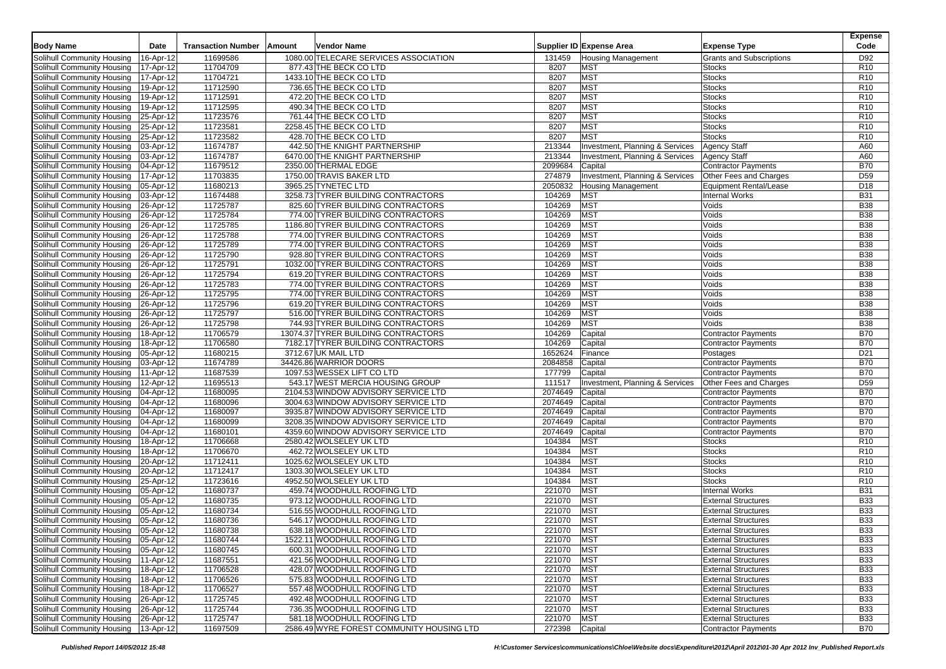|                                        |                        |                           |                                           |            |                                 |                               | <b>Expense</b>  |
|----------------------------------------|------------------------|---------------------------|-------------------------------------------|------------|---------------------------------|-------------------------------|-----------------|
| <b>Body Name</b>                       | Date                   | <b>Transaction Number</b> | Vendor Name<br>Amount                     |            | Supplier ID Expense Area        | <b>Expense Type</b>           | Code            |
| Solihull Community Housing             | 16-Apr-12              | 11699586                  | 1080.00 TELECARE SERVICES ASSOCIATION     | 131459     | <b>Housing Management</b>       | Grants and Subscriptions      | D92             |
| Solihull Community Housing             | 17-Apr-12              | 11704709                  | 877.43 THE BECK CO LTD                    | 8207       | <b>MST</b>                      | <b>Stocks</b>                 | R <sub>10</sub> |
| Solihull Community Housing             | 17-Apr-12              | 11704721                  | 1433.10 THE BECK CO LTD                   | 8207       | <b>MST</b>                      | <b>Stocks</b>                 | R <sub>10</sub> |
| Solihull Community Housing             | 19-Apr-12              | 11712590                  | 736.65 THE BECK CO LTD                    | 8207       | <b>MST</b>                      | <b>Stocks</b>                 | R <sub>10</sub> |
| Solihull Community Housing             | 19-Apr-12              | 11712591                  | 472.20 THE BECK CO LTD                    | 8207       | <b>MST</b>                      | <b>Stocks</b>                 | R <sub>10</sub> |
| Solihull Community Housing             | 19-Apr-12              | 11712595                  | 490.34 THE BECK CO LTD                    | 8207       | <b>MST</b>                      | <b>Stocks</b>                 | R <sub>10</sub> |
| Solihull Community Housing             | 25-Apr-12              | 11723576                  | 761.44 THE BECK CO LTD                    | 8207       | <b>MST</b>                      | <b>Stocks</b>                 | R <sub>10</sub> |
| Solihull Community Housing             | 25-Apr-12              | 11723581                  | 2258.45 THE BECK CO LTD                   | 8207       | MST                             | <b>Stocks</b>                 | R <sub>10</sub> |
| Solihull Community Housing             | 25-Apr-12              | 11723582                  | 428.70 THE BECK CO LTD                    | 8207       | <b>MST</b>                      | <b>Stocks</b>                 | R <sub>10</sub> |
| Solihull Community Housing             | 03-Apr-12              | 11674787                  | 442.50 THE KNIGHT PARTNERSHIP             | 213344     | Investment, Planning & Services | <b>Agency Staff</b>           | A60             |
| Solihull Community Housing             | 03-Apr-12              | 11674787                  | 6470.00 THE KNIGHT PARTNERSHIP            | 213344     | Investment, Planning & Services | <b>Agency Staff</b>           | A60             |
| Solihull Community Housing             | 04-Apr-12              | 11679512                  | 2350.00 THERMAL EDGE                      | 2099684    | Capital                         | <b>Contractor Payments</b>    | <b>B70</b>      |
| Solihull Community Housing             | 17-Apr-12              | 11703835                  | 1750.00 TRAVIS BAKER LTD                  | 274879     | Investment, Planning & Services | Other Fees and Charges        | D <sub>59</sub> |
| Solihull Community Housing             | 05-Apr-12              | 11680213                  | 3965.25 TYNETEC LTD                       | 2050832    | <b>Housing Management</b>       | <b>Equipment Rental/Lease</b> | D <sub>18</sub> |
| Solihull Community Housing             | 03-Apr-12              | 11674488                  | 3258.73 TYRER BUILDING CONTRACTORS        | 104269     | <b>MST</b>                      | <b>Internal Works</b>         | <b>B31</b>      |
| Solihull Community Housing             | 26-Apr-12              | 11725787                  | 825.60 TYRER BUILDING CONTRACTORS         | 104269     | <b>MST</b>                      | Voids                         | <b>B38</b>      |
| Solihull Community Housing             | 26-Apr-12              | 11725784                  | 774.00 TYRER BUILDING CONTRACTORS         | 104269     | MST                             | Voids                         | <b>B38</b>      |
| Solihull Community Housing             | 26-Apr-12              | 11725785                  | 1186.80 TYRER BUILDING CONTRACTORS        | 104269     | <b>MST</b>                      | Voids                         | <b>B38</b>      |
| Solihull Community Housing             | 26-Apr-12              | 11725788                  | 774.00 TYRER BUILDING CONTRACTORS         | 104269     | MST                             | Voids                         | <b>B38</b>      |
| Solihull Community Housing             | 26-Apr-12              | 11725789                  | 774.00 TYRER BUILDING CONTRACTORS         | 104269     | <b>MST</b>                      | Voids                         | <b>B38</b>      |
| Solihull Community Housing             | 26-Apr-12              | 11725790                  | 928.80 TYRER BUILDING CONTRACTORS         | 104269     | <b>MST</b>                      | Voids                         | <b>B38</b>      |
| Solihull Community Housing             | 26-Apr-12              | 11725791                  | 1032.00 TYRER BUILDING CONTRACTORS        | 104269     | <b>MST</b>                      | Voids                         | <b>B38</b>      |
| Solihull Community Housing             | 26-Apr-12              | 11725794                  | 619.20 TYRER BUILDING CONTRACTORS         | 104269     | <b>MST</b>                      | Voids                         | <b>B38</b>      |
| Solihull Community Housing             | 26-Apr-12              | 11725783                  | 774.00 TYRER BUILDING CONTRACTORS         | 104269     | <b>MST</b>                      | Voids                         | <b>B38</b>      |
| Solihull Community Housing             | 26-Apr-12              | 11725795                  | 774.00 TYRER BUILDING CONTRACTORS         | 104269     | <b>MST</b>                      | Voids                         | <b>B38</b>      |
| Solihull Community Housing             | 26-Apr-12              | 11725796                  | 619.20 TYRER BUILDING CONTRACTORS         | 104269     | <b>MST</b>                      | Voids                         | <b>B38</b>      |
| Solihull Community Housing             | 26-Apr-12              | 11725797                  | 516.00 TYRER BUILDING CONTRACTORS         | 104269     | <b>MST</b>                      | Voids                         | <b>B38</b>      |
| Solihull Community Housing             | 26-Apr-12              | 11725798                  | 744.93 TYRER BUILDING CONTRACTORS         | 104269     | <b>MST</b>                      | Voids                         | <b>B38</b>      |
| Solihull Community Housing             | 18-Apr-12              | 11706579                  | 13074.37 TYRER BUILDING CONTRACTORS       | 104269     | Capital                         | <b>Contractor Payments</b>    | <b>B70</b>      |
| Solihull Community Housing             | 18-Apr-12              | 11706580                  | 7182.17 TYRER BUILDING CONTRACTORS        | 104269     | Capital                         | <b>Contractor Payments</b>    | <b>B70</b>      |
| Solihull Community Housing             | 05-Apr-12              | 11680215                  | 3712.67 UK MAIL LTD                       | 1652624    | Finance                         | Postages                      | D <sub>21</sub> |
| Solihull Community Housing             | 03-Apr-12              | 11674789                  | 34426.86 WARRIOR DOORS                    | 2084858    | Capital                         | <b>Contractor Payments</b>    | <b>B70</b>      |
| Solihull Community Housing             | 11-Apr-12              | 11687539                  | 1097.53 WESSEX LIFT CO LTD                | 177799     | Capital                         | <b>Contractor Payments</b>    | <b>B70</b>      |
| Solihull Community Housing             | 12-Apr-12              | 11695513                  | 543.17 WEST MERCIA HOUSING GROUP          | 111517     | Investment, Planning & Services | Other Fees and Charges        | D <sub>59</sub> |
| Solihull Community Housing             | 04-Apr-12              | 11680095                  | 2104.53 WINDOW ADVISORY SERVICE LTD       | 2074649    | Capital                         | <b>Contractor Payments</b>    | <b>B70</b>      |
| Solihull Community Housing             | 04-Apr-12              | 11680096                  | 3004.63 WINDOW ADVISORY SERVICE LTD       | 2074649    | Capital                         | <b>Contractor Payments</b>    | <b>B70</b>      |
| Solihull Community Housing             | 04-Apr-12              | 11680097                  | 3935.87 WINDOW ADVISORY SERVICE LTD       | 2074649    | Capital                         | <b>Contractor Payments</b>    | <b>B70</b>      |
| Solihull Community Housing             | 04-Apr-12              | 11680099                  | 3208.35 WINDOW ADVISORY SERVICE LTD       | 2074649    | Capital                         | <b>Contractor Payments</b>    | <b>B70</b>      |
| Solihull Community Housing             | 04-Apr-12              | 11680101                  | 4359.60 WINDOW ADVISORY SERVICE LTD       | 2074649    | Capital                         | <b>Contractor Payments</b>    | <b>B70</b>      |
| Solihull Community Housing             | 18-Apr-12              | 11706668                  | 2580.42 WOLSELEY UK LTD                   | 104384     | <b>MST</b>                      | Stocks                        | R <sub>10</sub> |
| Solihull Community Housing             | 18-Apr-12              | 11706670                  | 462.72 WOLSELEY UK LTD                    | 104384     | MST                             | <b>Stocks</b>                 | R <sub>10</sub> |
| Solihull Community Housing             | 20-Apr-12              | 11712411                  | 1025.62 WOLSELEY UK LTD                   | 104384     | <b>MST</b>                      | <b>Stocks</b>                 | R <sub>10</sub> |
| Solihull Community Housing             | 20-Apr-12              | 11712417                  | 1303.30 WOLSELEY UK LTD                   | 104384     | MST                             | <b>Stocks</b>                 | R <sub>10</sub> |
| Solihull Community Housing             | 25-Apr-12              | 11723616                  | 4952.50 WOLSELEY UK LTD                   | 104384     | MST                             | <b>Stocks</b>                 | R <sub>10</sub> |
| Solihull Community Housing             | 05-Apr-12              | 11680737                  | 459.74 WOODHULL ROOFING LTD               | 221070     | <b>MST</b>                      | <b>Internal Works</b>         | <b>B31</b>      |
| Solihull Community Housing             | 05-Apr-12              | 11680735                  | 973.12 WOODHULL ROOFING LTD               | 221070     | <b>MST</b>                      | <b>External Structures</b>    | <b>B33</b>      |
| Solihull Community Housing             | 05-Apr-12              | 11680734                  | 516.55 WOODHULL ROOFING LTD               | 221070     | <b>MST</b>                      | <b>External Structures</b>    | <b>B33</b>      |
| Solihull Community Housing             | 05-Apr-12              | 11680736                  | 546.17 WOODHULL ROOFING LTD               | 221070     | <b>MST</b>                      | <b>External Structures</b>    | <b>B33</b>      |
| Solihull Community Housing             | 05-Apr-12              | 11680738                  | 638.18 WOODHULL ROOFING LTD               | 221070     | <b>MST</b>                      | <b>External Structures</b>    | <b>B33</b>      |
| Solihull Community Housing   05-Apr-12 |                        | 11680744                  | 1522.11 WOODHULL ROOFING LTD              | 221070 MST |                                 | <b>External Structures</b>    | <b>B33</b>      |
| Solihull Community Housing             | $\overline{$ 05-Apr-12 | 11680745                  | 600.31 WOODHULL ROOFING LTD               | 221070     | <b>MST</b>                      | <b>External Structures</b>    | <b>B33</b>      |
| Solihull Community Housing             | 11-Apr-12              | 11687551                  | 421.56 WOODHULL ROOFING LTD               | 221070     | <b>MST</b>                      | <b>External Structures</b>    | <b>B33</b>      |
| Solihull Community Housing             | 18-Apr-12              | 11706528                  | 428.07 WOODHULL ROOFING LTD               | 221070     | <b>MST</b>                      | <b>External Structures</b>    | <b>B33</b>      |
| Solihull Community Housing             | 18-Apr-12              | 11706526                  | 575.83 WOODHULL ROOFING LTD               | 221070     | <b>MST</b>                      | <b>External Structures</b>    | <b>B33</b>      |
| <b>Solihull Community Housing</b>      | 18-Apr-12              | 11706527                  | 557.48 WOODHULL ROOFING LTD               | 221070     | <b>MST</b>                      | <b>External Structures</b>    | <b>B33</b>      |
| Solihull Community Housing             | 26-Apr-12              | 11725745                  | 492.48 WOODHULL ROOFING LTD               | 221070     | <b>MST</b>                      | <b>External Structures</b>    | <b>B33</b>      |
| Solihull Community Housing             | 26-Apr-12              | 11725744                  | 736.35 WOODHULL ROOFING LTD               | 221070     | <b>MST</b>                      | <b>External Structures</b>    | <b>B33</b>      |
| Solihull Community Housing             | 26-Apr-12              | 11725747                  | 581.18 WOODHULL ROOFING LTD               | 221070     | <b>MST</b>                      | <b>External Structures</b>    | <b>B33</b>      |
| Solihull Community Housing   13-Apr-12 |                        | 11697509                  | 2586.49 WYRE FOREST COMMUNITY HOUSING LTD | 272398     | Capital                         | <b>Contractor Payments</b>    | <b>B70</b>      |